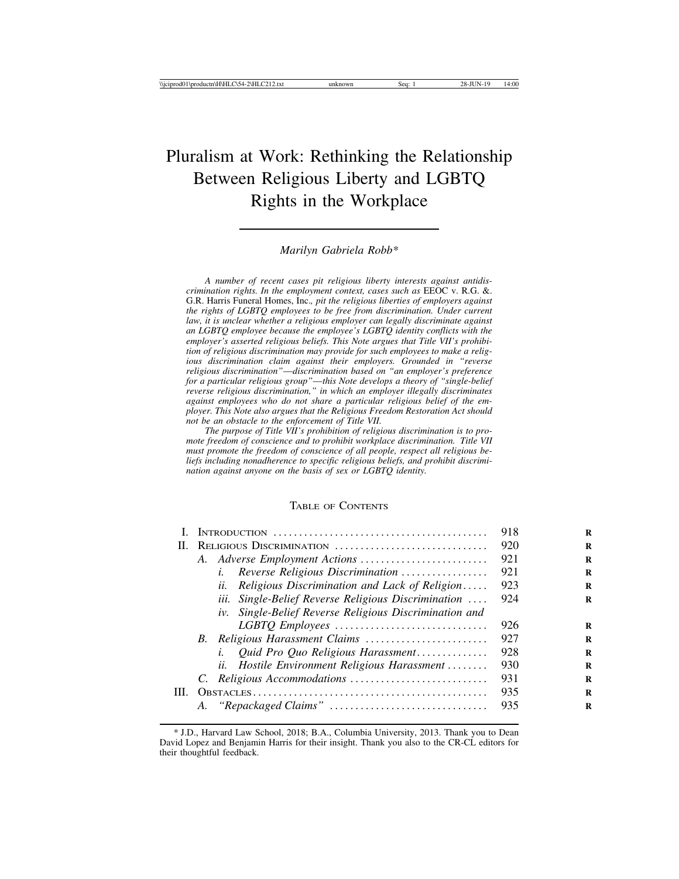# Pluralism at Work: Rethinking the Relationship Between Religious Liberty and LGBTQ Rights in the Workplace

# *Marilyn Gabriela Robb\**

*A number of recent cases pit religious liberty interests against antidiscrimination rights. In the employment context, cases such as* EEOC v. R.G. &. G.R. Harris Funeral Homes, Inc.*, pit the religious liberties of employers against the rights of LGBTQ employees to be free from discrimination. Under current law, it is unclear whether a religious employer can legally discriminate against an LGBTQ employee because the employee's LGBTQ identity conflicts with the employer's asserted religious beliefs. This Note argues that Title VII's prohibition of religious discrimination may provide for such employees to make a religious discrimination claim against their employers. Grounded in "reverse religious discrimination"*—*discrimination based on "an employer's preference for a particular religious group"*—*this Note develops a theory of "single-belief reverse religious discrimination," in which an employer illegally discriminates against employees who do not share a particular religious belief of the employer. This Note also argues that the Religious Freedom Restoration Act should not be an obstacle to the enforcement of Title VII.*

*The purpose of Title VII's prohibition of religious discrimination is to promote freedom of conscience and to prohibit workplace discrimination. Title VII must promote the freedom of conscience of all people, respect all religious beliefs including nonadherence to specific religious beliefs, and prohibit discrimination against anyone on the basis of sex or LGBTQ identity.*

# TABLE OF CONTENTS

|      |    |                                                        | 918 |
|------|----|--------------------------------------------------------|-----|
| Н.   |    | RELIGIOUS DISCRIMINATION                               | 920 |
|      |    |                                                        | 921 |
|      |    | Reverse Religious Discrimination<br>i.                 | 921 |
|      |    | Religious Discrimination and Lack of Religion<br>$u$ . | 923 |
|      |    | iii. Single-Belief Reverse Religious Discrimination    | 924 |
|      |    | iv. Single-Belief Reverse Religious Discrimination and |     |
|      |    | LGBTQ Employees                                        | 926 |
|      |    |                                                        | 927 |
|      |    | Quid Pro Quo Religious Harassment<br>i.                | 928 |
|      |    | ii.<br>Hostile Environment Religious Harassment        | 930 |
|      |    |                                                        | 931 |
| III. |    |                                                        | 935 |
|      | А. |                                                        | 935 |

<sup>\*</sup> J.D., Harvard Law School, 2018; B.A., Columbia University, 2013. Thank you to Dean David Lopez and Benjamin Harris for their insight. Thank you also to the CR-CL editors for their thoughtful feedback.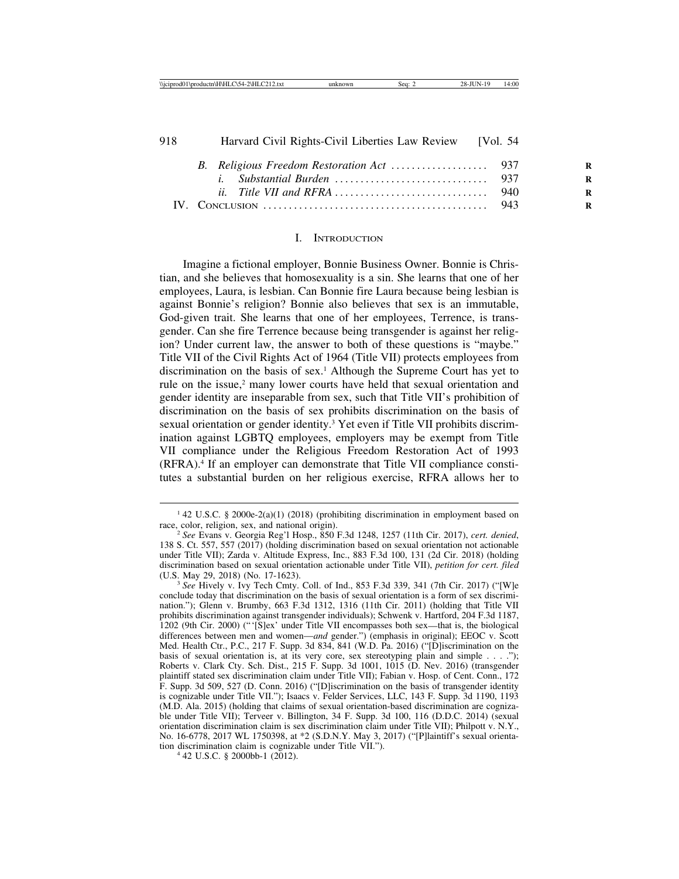# *ii. Title VII and RFRA* . . . . . . . . . . . . . . . . . . . . . . . . . . . . . . 940 **R** IV. CONCLUSION . . . . . . . . . . . . . . . . . . . . . . . . . . . . . . . . . . . . . . . . . . . . 943 **<sup>R</sup>**

#### I. INTRODUCTION

Imagine a fictional employer, Bonnie Business Owner. Bonnie is Christian, and she believes that homosexuality is a sin. She learns that one of her employees, Laura, is lesbian. Can Bonnie fire Laura because being lesbian is against Bonnie's religion? Bonnie also believes that sex is an immutable, God-given trait. She learns that one of her employees, Terrence, is transgender. Can she fire Terrence because being transgender is against her religion? Under current law, the answer to both of these questions is "maybe." Title VII of the Civil Rights Act of 1964 (Title VII) protects employees from discrimination on the basis of sex.1 Although the Supreme Court has yet to rule on the issue,<sup>2</sup> many lower courts have held that sexual orientation and gender identity are inseparable from sex, such that Title VII's prohibition of discrimination on the basis of sex prohibits discrimination on the basis of sexual orientation or gender identity.<sup>3</sup> Yet even if Title VII prohibits discrimination against LGBTQ employees, employers may be exempt from Title VII compliance under the Religious Freedom Restoration Act of 1993 (RFRA).4 If an employer can demonstrate that Title VII compliance constitutes a substantial burden on her religious exercise, RFRA allows her to

<sup>&</sup>lt;sup>1</sup> 42 U.S.C. § 2000e-2(a)(1) (2018) (prohibiting discrimination in employment based on race, color, religion, sex, and national origin).

 $\frac{2}{3}$  See Evans v. Georgia Reg'l Hosp.,  $\frac{850}{2}$  F.3d 1248, 1257 (11th Cir. 2017), *cert. denied*, 138 S. Ct. 557, 557 (2017) (holding discrimination based on sexual orientation not actionable under Title VII); Zarda v. Altitude Express, Inc., 883 F.3d 100, 131 (2d Cir. 2018) (holding discrimination based on sexual orientation actionable under Title VII), *petition for cert. filed*

<sup>&</sup>lt;sup>3</sup> See Hively v. Ivy Tech Cmty. Coll. of Ind., 853 F.3d 339, 341 (7th Cir. 2017) ("[W]e conclude today that discrimination on the basis of sexual orientation is a form of sex discrimination."); Glenn v. Brumby, 663 F.3d 1312, 1316 (11th Cir. 2011) (holding that Title VII prohibits discrimination against transgender individuals); Schwenk v. Hartford, 204 F.3d 1187, 1202 (9th Cir. 2000) ("'[S]ex' under Title VII encompasses both sex—that is, the biological differences between men and women—*and* gender.") (emphasis in original); EEOC v. Scott Med. Health Ctr., P.C., 217 F. Supp. 3d 834, 841 (W.D. Pa. 2016) ("[D]iscrimination on the basis of sexual orientation is, at its very core, sex stereotyping plain and simple . . . ."); Roberts v. Clark Cty. Sch. Dist., 215 F. Supp. 3d 1001, 1015 (D. Nev. 2016) (transgender plaintiff stated sex discrimination claim under Title VII); Fabian v. Hosp. of Cent. Conn., 172 F. Supp. 3d 509, 527 (D. Conn. 2016) ("[D]iscrimination on the basis of transgender identity is cognizable under Title VII."); Isaacs v. Felder Services, LLC, 143 F. Supp. 3d 1190, 1193 (M.D. Ala. 2015) (holding that claims of sexual orientation-based discrimination are cognizable under Title VII); Terveer v. Billington, 34 F. Supp. 3d 100, 116 (D.D.C. 2014) (sexual orientation discrimination claim is sex discrimination claim under Title VII); Philpott v. N.Y., No. 16-6778, 2017 WL 1750398, at \*2 (S.D.N.Y. May 3, 2017) ("[P]laintiff's sexual orientation discrimination claim is cognizable under Title VII."). <sup>4</sup> 42 U.S.C. § 2000bb-1 (2012).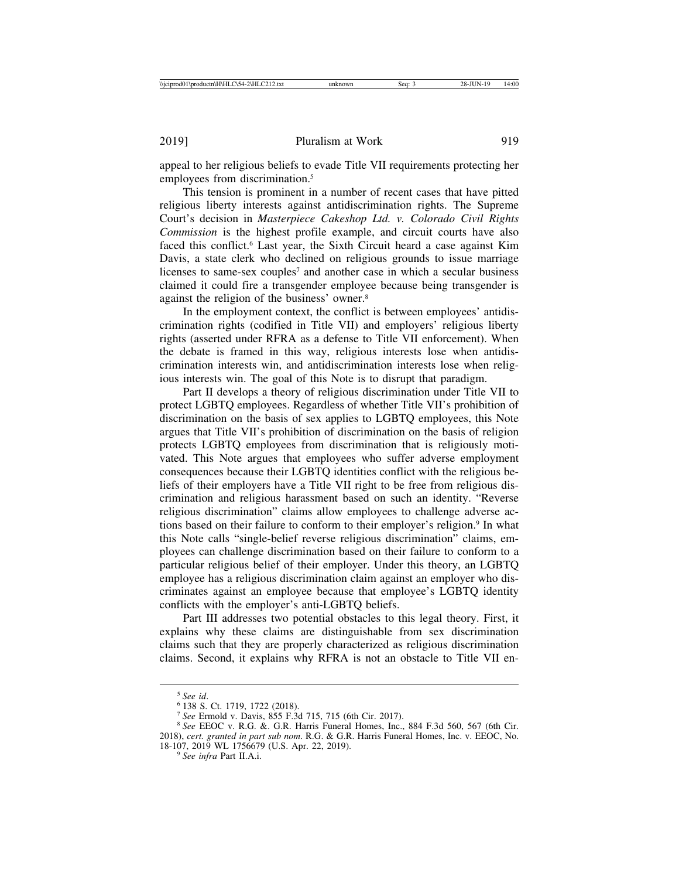appeal to her religious beliefs to evade Title VII requirements protecting her employees from discrimination.<sup>5</sup>

This tension is prominent in a number of recent cases that have pitted religious liberty interests against antidiscrimination rights. The Supreme Court's decision in *Masterpiece Cakeshop Ltd. v. Colorado Civil Rights Commission* is the highest profile example, and circuit courts have also faced this conflict.<sup>6</sup> Last year, the Sixth Circuit heard a case against Kim Davis, a state clerk who declined on religious grounds to issue marriage licenses to same-sex couples<sup>7</sup> and another case in which a secular business claimed it could fire a transgender employee because being transgender is against the religion of the business' owner.8

In the employment context, the conflict is between employees' antidiscrimination rights (codified in Title VII) and employers' religious liberty rights (asserted under RFRA as a defense to Title VII enforcement). When the debate is framed in this way, religious interests lose when antidiscrimination interests win, and antidiscrimination interests lose when religious interests win. The goal of this Note is to disrupt that paradigm.

Part II develops a theory of religious discrimination under Title VII to protect LGBTQ employees. Regardless of whether Title VII's prohibition of discrimination on the basis of sex applies to LGBTQ employees, this Note argues that Title VII's prohibition of discrimination on the basis of religion protects LGBTQ employees from discrimination that is religiously motivated. This Note argues that employees who suffer adverse employment consequences because their LGBTQ identities conflict with the religious beliefs of their employers have a Title VII right to be free from religious discrimination and religious harassment based on such an identity. "Reverse religious discrimination" claims allow employees to challenge adverse actions based on their failure to conform to their employer's religion.9 In what this Note calls "single-belief reverse religious discrimination" claims, employees can challenge discrimination based on their failure to conform to a particular religious belief of their employer. Under this theory, an LGBTQ employee has a religious discrimination claim against an employer who discriminates against an employee because that employee's LGBTQ identity conflicts with the employer's anti-LGBTQ beliefs.

Part III addresses two potential obstacles to this legal theory. First, it explains why these claims are distinguishable from sex discrimination claims such that they are properly characterized as religious discrimination claims. Second, it explains why RFRA is not an obstacle to Title VII en-

<sup>&</sup>lt;sup>5</sup> See id.<br><sup>6</sup> 138 S. Ct. 1719, 1722 (2018).<br><sup>7</sup> See Ermold v. Davis, 855 F.3d 715, 715 (6th Cir. 2017).

<sup>&</sup>lt;sup>8</sup> See EEOC v. R.G. &. G.R. Harris Funeral Homes, Inc., 884 F.3d 560, 567 (6th Cir. 2018), *cert. granted in part sub nom*. R.G. & G.R. Harris Funeral Homes, Inc. v. EEOC, No. 18-107, 2019 WL 1756679 (U.S. Apr. 22, 2019). <sup>9</sup> *See infra* Part II.A.i.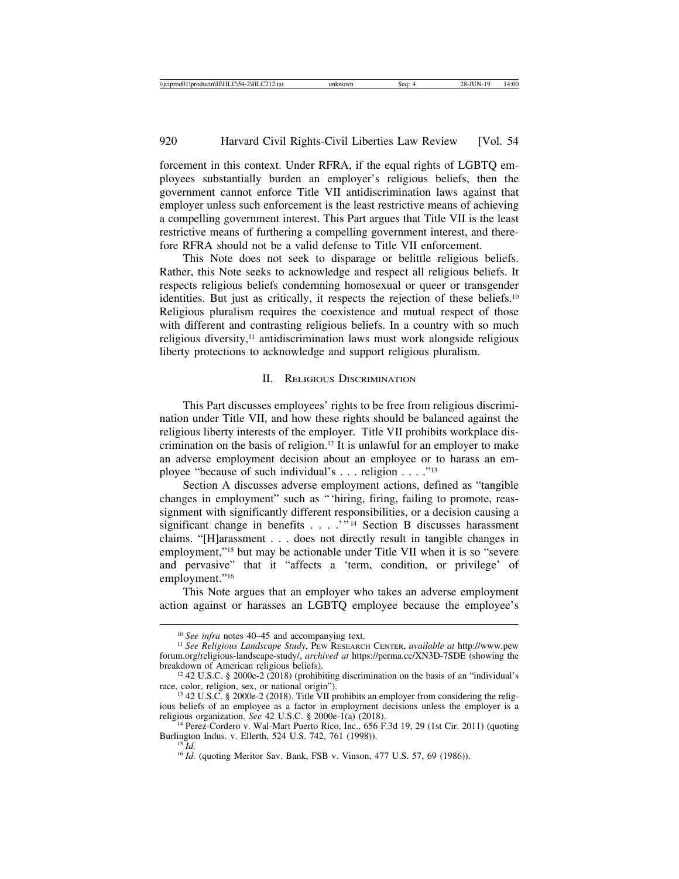forcement in this context. Under RFRA, if the equal rights of LGBTQ employees substantially burden an employer's religious beliefs, then the government cannot enforce Title VII antidiscrimination laws against that employer unless such enforcement is the least restrictive means of achieving a compelling government interest. This Part argues that Title VII is the least restrictive means of furthering a compelling government interest, and therefore RFRA should not be a valid defense to Title VII enforcement.

This Note does not seek to disparage or belittle religious beliefs. Rather, this Note seeks to acknowledge and respect all religious beliefs. It respects religious beliefs condemning homosexual or queer or transgender identities. But just as critically, it respects the rejection of these beliefs.<sup>10</sup> Religious pluralism requires the coexistence and mutual respect of those with different and contrasting religious beliefs. In a country with so much religious diversity,<sup>11</sup> antidiscrimination laws must work alongside religious liberty protections to acknowledge and support religious pluralism.

# II. RELIGIOUS DISCRIMINATION

This Part discusses employees' rights to be free from religious discrimination under Title VII, and how these rights should be balanced against the religious liberty interests of the employer. Title VII prohibits workplace discrimination on the basis of religion.12 It is unlawful for an employer to make an adverse employment decision about an employee or to harass an employee "because of such individual's . . . religion . . . ."13

Section A discusses adverse employment actions, defined as "tangible changes in employment" such as "'hiring, firing, failing to promote, reassignment with significantly different responsibilities, or a decision causing a significant change in benefits . . . . "<sup>14</sup> Section B discusses harassment claims. "[H]arassment . . . does not directly result in tangible changes in employment,"15 but may be actionable under Title VII when it is so "severe and pervasive" that it "affects a 'term, condition, or privilege' of employment."<sup>16</sup>

This Note argues that an employer who takes an adverse employment action against or harasses an LGBTQ employee because the employee's

<sup>&</sup>lt;sup>10</sup> See infra notes 40–45 and accompanying text.<br><sup>11</sup> See Religious Landscape Study, PEW RESEARCH CENTER, *available at* http://www.pew forum.org/religious-landscape-study/, *archived at* https://perma.cc/XN3D-7SDE (showing the

<sup>&</sup>lt;sup>12</sup> 42 U.S.C. § 2000e-2 (2018) (prohibiting discrimination on the basis of an "individual's race, color, religion, sex, or national origin").

 $13$  42 U.S.C. § 2000e-2 (2018). Title VII prohibits an employer from considering the religious beliefs of an employee as a factor in employment decisions unless the employer is a religious organization. See 42 U.S.C.  $\S$  2000e-1(a) (2018).

<sup>&</sup>lt;sup>14</sup> Perez-Cordero v. Wal-Mart Puerto Rico, Inc., 656 F.3d 19, 29 (1st Cir. 2011) (quoting Burlington Indus. v. Ellerth, 524 U.S. 742, 761 (1998)).

<sup>&</sup>lt;sup>15</sup>*Id.* (quoting Meritor Sav. Bank, FSB v. Vinson, 477 U.S. 57, 69 (1986)).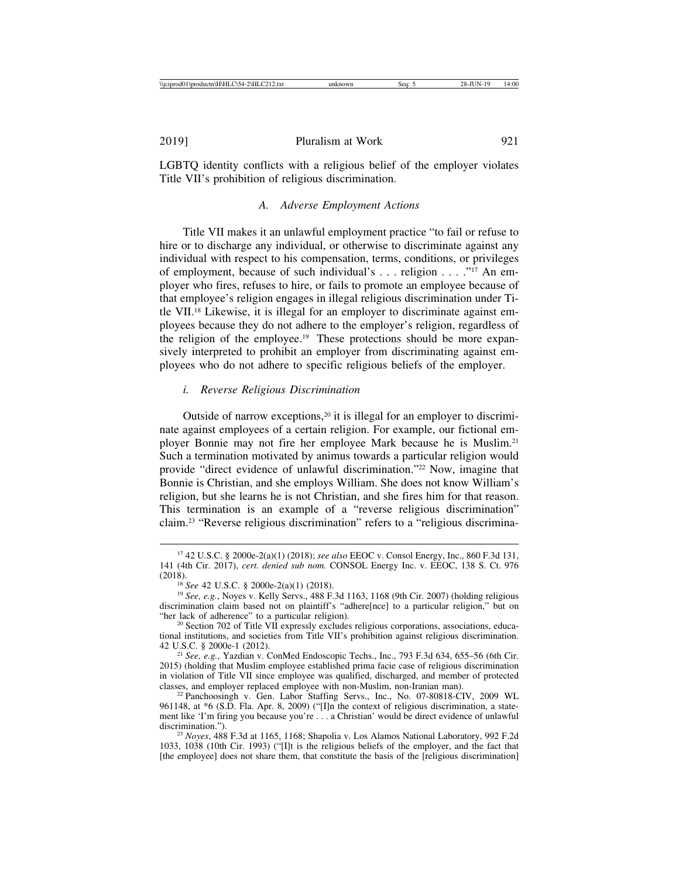LGBTQ identity conflicts with a religious belief of the employer violates Title VII's prohibition of religious discrimination.

# *A. Adverse Employment Actions*

Title VII makes it an unlawful employment practice "to fail or refuse to hire or to discharge any individual, or otherwise to discriminate against any individual with respect to his compensation, terms, conditions, or privileges of employment, because of such individual's . . . religion . . . ."17 An employer who fires, refuses to hire, or fails to promote an employee because of that employee's religion engages in illegal religious discrimination under Title VII.18 Likewise, it is illegal for an employer to discriminate against employees because they do not adhere to the employer's religion, regardless of the religion of the employee.19 These protections should be more expansively interpreted to prohibit an employer from discriminating against employees who do not adhere to specific religious beliefs of the employer.

# *i. Reverse Religious Discrimination*

Outside of narrow exceptions,<sup>20</sup> it is illegal for an employer to discriminate against employees of a certain religion. For example, our fictional employer Bonnie may not fire her employee Mark because he is Muslim.21 Such a termination motivated by animus towards a particular religion would provide "direct evidence of unlawful discrimination."22 Now, imagine that Bonnie is Christian, and she employs William. She does not know William's religion, but she learns he is not Christian, and she fires him for that reason. This termination is an example of a "reverse religious discrimination" claim.23 "Reverse religious discrimination" refers to a "religious discrimina-

<sup>17</sup> 42 U.S.C. § 2000e-2(a)(1) (2018); *see also* EEOC v. Consol Energy, Inc., 860 F.3d 131, 141 (4th Cir. 2017), *cert. denied sub nom.* CONSOL Energy Inc. v. EEOC, 138 S. Ct. 976 (2018). <sup>18</sup> *See* 42 U.S.C. § 2000e-2(a)(1) (2018). <sup>19</sup> *See, e.g.*, Noyes v. Kelly Servs., 488 F.3d 1163, 1168 (9th Cir. 2007) (holding religious

discrimination claim based not on plaintiff's "adhere[nce] to a particular religion," but on "her lack of adherence" to a particular religion).

 $20$  Section 702 of Title VII expressly excludes religious corporations, associations, educational institutions, and societies from Title VII's prohibition against religious discrimination. 42 U.S.C. § 2000e-1 (2012). <sup>21</sup> *See, e.g.*, Yazdian v. ConMed Endoscopic Techs., Inc., 793 F.3d 634, 655–56 (6th Cir.

<sup>2015) (</sup>holding that Muslim employee established prima facie case of religious discrimination in violation of Title VII since employee was qualified, discharged, and member of protected classes, and employer replaced employee with non-Muslim, non-Iranian man).

<sup>&</sup>lt;sup>22</sup> Panchoosingh v. Gen. Labor Staffing Servs., Inc., No. 07-80818-CIV, 2009 WL 961148, at \*6 (S.D. Fla. Apr. 8, 2009) ("[I]n the context of religious discrimination, a statement like 'I'm firing you because you're . . . a Christian' would be direct evidence of unlawful discrimination.").

<sup>&</sup>lt;sup>23</sup> *Noyes*, 488 F.3d at 1165, 1168; Shapolia v. Los Alamos National Laboratory, 992 F.2d 1033, 1038 (10th Cir. 1993) ("[I]t is the religious beliefs of the employer, and the fact that [the employee] does not share them, that constitute the basis of the [religious discrimination]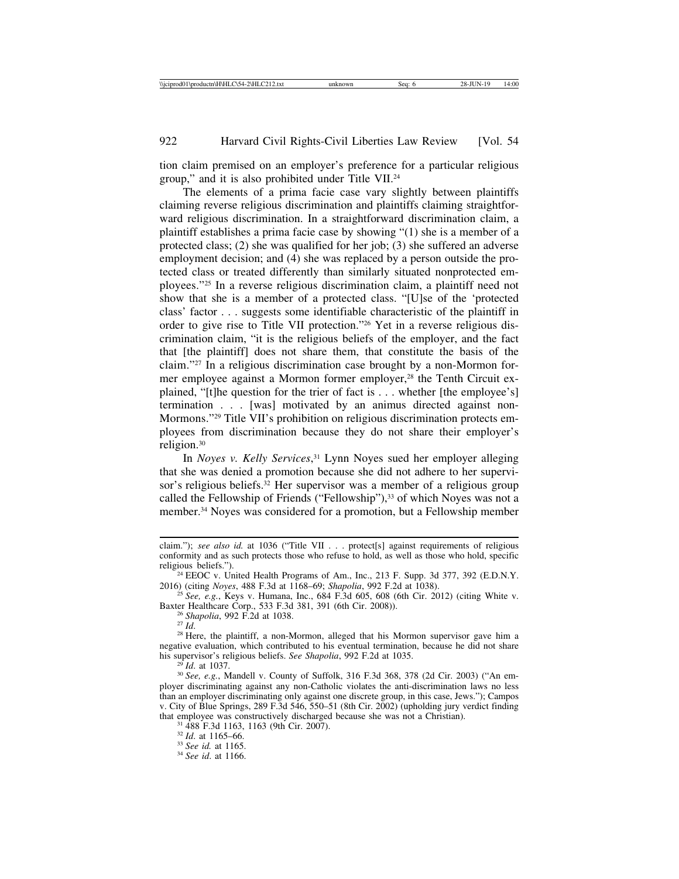tion claim premised on an employer's preference for a particular religious group," and it is also prohibited under Title VII.24

The elements of a prima facie case vary slightly between plaintiffs claiming reverse religious discrimination and plaintiffs claiming straightforward religious discrimination. In a straightforward discrimination claim, a plaintiff establishes a prima facie case by showing "(1) she is a member of a protected class; (2) she was qualified for her job; (3) she suffered an adverse employment decision; and (4) she was replaced by a person outside the protected class or treated differently than similarly situated nonprotected employees."25 In a reverse religious discrimination claim, a plaintiff need not show that she is a member of a protected class. "[U]se of the 'protected class' factor . . . suggests some identifiable characteristic of the plaintiff in order to give rise to Title VII protection."26 Yet in a reverse religious discrimination claim, "it is the religious beliefs of the employer, and the fact that [the plaintiff] does not share them, that constitute the basis of the claim."27 In a religious discrimination case brought by a non-Mormon former employee against a Mormon former employer,<sup>28</sup> the Tenth Circuit explained, "[t]he question for the trier of fact is . . . whether [the employee's] termination . . . [was] motivated by an animus directed against non-Mormons."29 Title VII's prohibition on religious discrimination protects employees from discrimination because they do not share their employer's religion.30

In *Noyes v. Kelly Services*, 31 Lynn Noyes sued her employer alleging that she was denied a promotion because she did not adhere to her supervisor's religious beliefs.<sup>32</sup> Her supervisor was a member of a religious group called the Fellowship of Friends ("Fellowship"),<sup>33</sup> of which Noyes was not a member.34 Noyes was considered for a promotion, but a Fellowship member

<sup>26</sup> Shapolia, 992 F.2d at 1038.<br><sup>27</sup> *Id.* 28 Here, the plaintiff, a non-Mormon, alleged that his Mormon supervisor gave him a negative evaluation, which contributed to his eventual termination, because he did not share his supervisor's religious beliefs. See Shapolia, 992 F.2d at 1035.

<sup>29</sup> Id. at 1037.<br><sup>30</sup> *See, e.g.*, Mandell v. County of Suffolk, 316 F.3d 368, 378 (2d Cir. 2003) ("An employer discriminating against any non-Catholic violates the anti-discrimination laws no less than an employer discriminating only against one discrete group, in this case, Jews."); Campos v. City of Blue Springs, 289 F.3d 546, 550–51 (8th Cir. 2002) (upholding jury verdict finding that employee was constructively discharged because she was not a Christian). <sup>31</sup> 488 F.3d 1163, 1163 (9th Cir. 2007). <sup>32</sup> *Id*. at 1165–66. <sup>33</sup> *See id.* at 1165. <sup>34</sup> *See id*. at 1166.

claim."); see also id. at 1036 ("Title VII . . . protect[s] against requirements of religious conformity and as such protects those who refuse to hold, as well as those who hold, specific religious beliefs.").

<sup>&</sup>lt;sup>24</sup> EEOC v. United Health Programs of Am., Inc., 213 F. Supp. 3d 377, 392 (E.D.N.Y. 2016) (citing *Noyes*, 488 F.3d at 1168–69; *Shapolia*, 992 F.2d at 1038).

<sup>&</sup>lt;sup>25</sup> See, e.g., Keys v. Humana, Inc., 684 F.3d 605, 608 (6th Cir. 2012) (citing White v. Baxter Healthcare Corp., 533 F.3d 381, 391 (6th Cir. 2008)).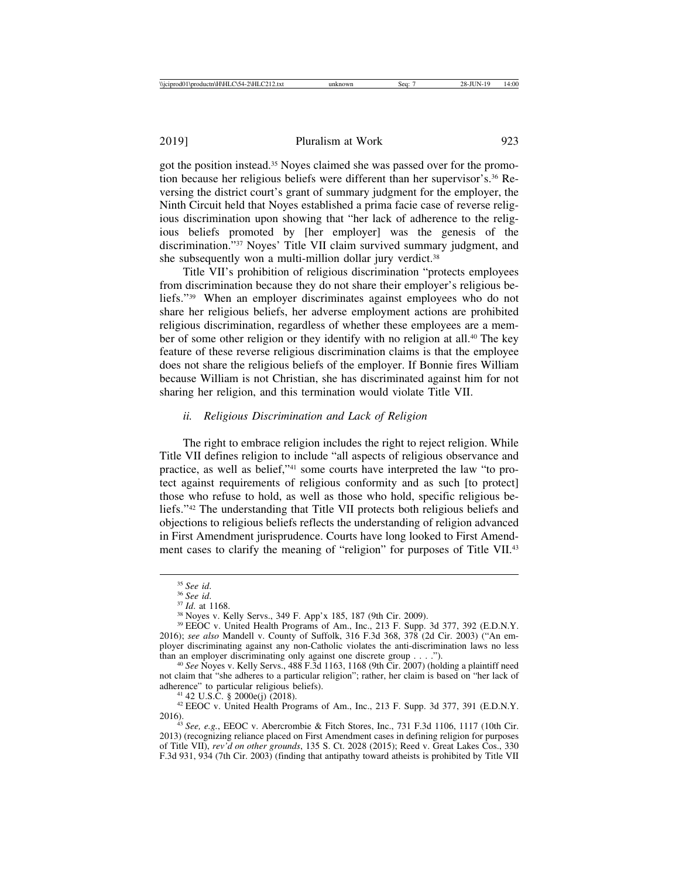got the position instead.35 Noyes claimed she was passed over for the promotion because her religious beliefs were different than her supervisor's.36 Reversing the district court's grant of summary judgment for the employer, the Ninth Circuit held that Noyes established a prima facie case of reverse religious discrimination upon showing that "her lack of adherence to the religious beliefs promoted by [her employer] was the genesis of the discrimination."37 Noyes' Title VII claim survived summary judgment, and she subsequently won a multi-million dollar jury verdict.<sup>38</sup>

Title VII's prohibition of religious discrimination "protects employees from discrimination because they do not share their employer's religious beliefs."39 When an employer discriminates against employees who do not share her religious beliefs, her adverse employment actions are prohibited religious discrimination, regardless of whether these employees are a member of some other religion or they identify with no religion at all.<sup>40</sup> The key feature of these reverse religious discrimination claims is that the employee does not share the religious beliefs of the employer. If Bonnie fires William because William is not Christian, she has discriminated against him for not sharing her religion, and this termination would violate Title VII.

## *ii. Religious Discrimination and Lack of Religion*

The right to embrace religion includes the right to reject religion. While Title VII defines religion to include "all aspects of religious observance and practice, as well as belief,"41 some courts have interpreted the law "to protect against requirements of religious conformity and as such [to protect] those who refuse to hold, as well as those who hold, specific religious beliefs."42 The understanding that Title VII protects both religious beliefs and objections to religious beliefs reflects the understanding of religion advanced in First Amendment jurisprudence. Courts have long looked to First Amendment cases to clarify the meaning of "religion" for purposes of Title VII.43

<sup>&</sup>lt;sup>35</sup> *See id.*<br><sup>36</sup> *See id.*<br><sup>37</sup> *Id.* at 1168.<br><sup>38</sup> Noyes v. Kelly Servs., 349 F. App'x 185, 187 (9th Cir. 2009).<br><sup>39</sup> EEOC v. United Health Programs of Am., Inc., 213 F. Supp. 3d 377, 392 (E.D.N.Y. 2016); *see also* Mandell v. County of Suffolk, 316 F.3d 368, 378 (2d Cir. 2003) ("An employer discriminating against any non-Catholic violates the anti-discrimination laws no less than an employer discriminating only against one discrete group  $\dots$ .

<sup>&</sup>lt;sup>40</sup> See Noyes v. Kelly Servs., 488 F.3d 1163, 1168 (9th Cir. 2007) (holding a plaintiff need not claim that "she adheres to a particular religion"; rather, her claim is based on "her lack of adherence" to particular religious beliefs).

<sup>&</sup>lt;sup>41</sup> 42 U.S.C. § 2000e(j) (2018).  $42 \text{ EEOC}$  v. United Health Programs of Am., Inc., 213 F. Supp. 3d 377, 391 (E.D.N.Y. 2016).

<sup>&</sup>lt;sup>43</sup> *See, e.g.*, EEOC v. Abercrombie & Fitch Stores, Inc., 731 F.3d 1106, 1117 (10th Cir. 2013) (recognizing reliance placed on First Amendment cases in defining religion for purposes of Title VII), *rev'd on other grounds*, 135 S. Ct. 2028 (2015); Reed v. Great Lakes Cos., 330 F.3d 931, 934 (7th Cir. 2003) (finding that antipathy toward atheists is prohibited by Title VII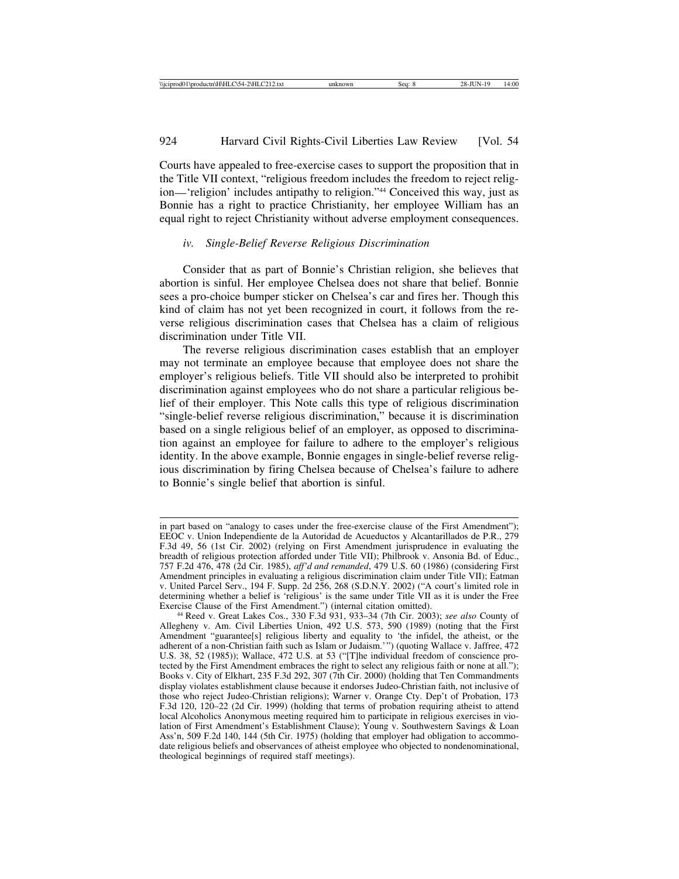924 Harvard Civil Rights-Civil Liberties Law Review [Vol. 54

Courts have appealed to free-exercise cases to support the proposition that in the Title VII context, "religious freedom includes the freedom to reject religion—'religion' includes antipathy to religion."44 Conceived this way, just as Bonnie has a right to practice Christianity, her employee William has an equal right to reject Christianity without adverse employment consequences.

#### *iv. Single-Belief Reverse Religious Discrimination*

Consider that as part of Bonnie's Christian religion, she believes that abortion is sinful. Her employee Chelsea does not share that belief. Bonnie sees a pro-choice bumper sticker on Chelsea's car and fires her. Though this kind of claim has not yet been recognized in court, it follows from the reverse religious discrimination cases that Chelsea has a claim of religious discrimination under Title VII.

The reverse religious discrimination cases establish that an employer may not terminate an employee because that employee does not share the employer's religious beliefs. Title VII should also be interpreted to prohibit discrimination against employees who do not share a particular religious belief of their employer. This Note calls this type of religious discrimination "single-belief reverse religious discrimination," because it is discrimination based on a single religious belief of an employer, as opposed to discrimination against an employee for failure to adhere to the employer's religious identity. In the above example, Bonnie engages in single-belief reverse religious discrimination by firing Chelsea because of Chelsea's failure to adhere to Bonnie's single belief that abortion is sinful.

in part based on "analogy to cases under the free-exercise clause of the First Amendment"); EEOC v. Union Independiente de la Autoridad de Acueductos y Alcantarillados de P.R., 279 F.3d 49, 56 (1st Cir. 2002) (relying on First Amendment jurisprudence in evaluating the breadth of religious protection afforded under Title VII); Philbrook v. Ansonia Bd. of Educ., 757 F.2d 476, 478 (2d Cir. 1985), *aff'd and remanded*, 479 U.S. 60 (1986) (considering First Amendment principles in evaluating a religious discrimination claim under Title VII); Eatman v. United Parcel Serv., 194 F. Supp. 2d 256, 268 (S.D.N.Y. 2002) ("A court's limited role in determining whether a belief is 'religious' is the same under Title VII as it is under the Free Exercise Clause of the First Amendment.") (internal citation omitted).

<sup>&</sup>lt;sup>44</sup> Reed v. Great Lakes Cos., 330 F.3d 931, 933–34 (7th Cir. 2003); *see also* County of Allegheny v. Am. Civil Liberties Union, 492 U.S. 573, 590 (1989) (noting that the First Amendment "guarantee[s] religious liberty and equality to 'the infidel, the atheist, or the adherent of a non-Christian faith such as Islam or Judaism.'") (quoting Wallace v. Jaffree, 472 U.S. 38, 52 (1985)); Wallace, 472 U.S. at 53 ("[T]he individual freedom of conscience protected by the First Amendment embraces the right to select any religious faith or none at all."); Books v. City of Elkhart, 235 F.3d 292, 307 (7th Cir. 2000) (holding that Ten Commandments display violates establishment clause because it endorses Judeo-Christian faith, not inclusive of those who reject Judeo-Christian religions); Warner v. Orange Cty. Dep't of Probation, 173 F.3d 120, 120–22 (2d Cir. 1999) (holding that terms of probation requiring atheist to attend local Alcoholics Anonymous meeting required him to participate in religious exercises in violation of First Amendment's Establishment Clause); Young v. Southwestern Savings & Loan Ass'n, 509 F.2d 140, 144 (5th Cir. 1975) (holding that employer had obligation to accommodate religious beliefs and observances of atheist employee who objected to nondenominational, theological beginnings of required staff meetings).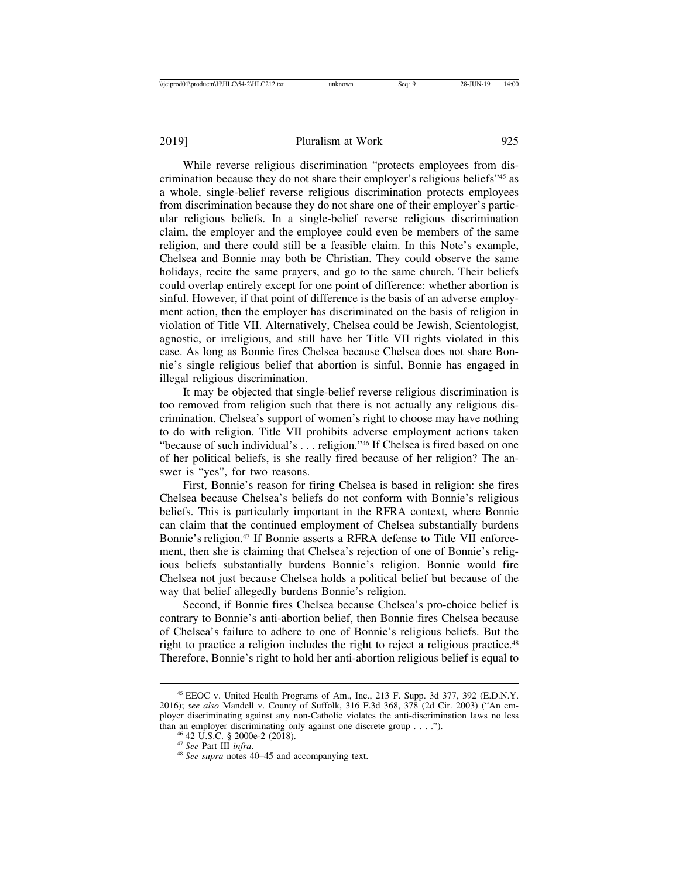While reverse religious discrimination "protects employees from discrimination because they do not share their employer's religious beliefs"45 as a whole, single-belief reverse religious discrimination protects employees from discrimination because they do not share one of their employer's particular religious beliefs. In a single-belief reverse religious discrimination claim, the employer and the employee could even be members of the same religion, and there could still be a feasible claim. In this Note's example, Chelsea and Bonnie may both be Christian. They could observe the same holidays, recite the same prayers, and go to the same church. Their beliefs could overlap entirely except for one point of difference: whether abortion is sinful. However, if that point of difference is the basis of an adverse employment action, then the employer has discriminated on the basis of religion in violation of Title VII. Alternatively, Chelsea could be Jewish, Scientologist, agnostic, or irreligious, and still have her Title VII rights violated in this case. As long as Bonnie fires Chelsea because Chelsea does not share Bonnie's single religious belief that abortion is sinful, Bonnie has engaged in illegal religious discrimination.

It may be objected that single-belief reverse religious discrimination is too removed from religion such that there is not actually any religious discrimination. Chelsea's support of women's right to choose may have nothing to do with religion. Title VII prohibits adverse employment actions taken "because of such individual's . . . religion."46 If Chelsea is fired based on one of her political beliefs, is she really fired because of her religion? The answer is "yes", for two reasons.

First, Bonnie's reason for firing Chelsea is based in religion: she fires Chelsea because Chelsea's beliefs do not conform with Bonnie's religious beliefs. This is particularly important in the RFRA context, where Bonnie can claim that the continued employment of Chelsea substantially burdens Bonnie's religion.<sup>47</sup> If Bonnie asserts a RFRA defense to Title VII enforcement, then she is claiming that Chelsea's rejection of one of Bonnie's religious beliefs substantially burdens Bonnie's religion. Bonnie would fire Chelsea not just because Chelsea holds a political belief but because of the way that belief allegedly burdens Bonnie's religion.

Second, if Bonnie fires Chelsea because Chelsea's pro-choice belief is contrary to Bonnie's anti-abortion belief, then Bonnie fires Chelsea because of Chelsea's failure to adhere to one of Bonnie's religious beliefs. But the right to practice a religion includes the right to reject a religious practice.<sup>48</sup> Therefore, Bonnie's right to hold her anti-abortion religious belief is equal to

<sup>45</sup> EEOC v. United Health Programs of Am., Inc., 213 F. Supp. 3d 377, 392 (E.D.N.Y. 2016); *see also* Mandell v. County of Suffolk, 316 F.3d 368, 378 (2d Cir. 2003) ("An employer discriminating against any non-Catholic violates the anti-discrimination laws no less than an employer discriminating only against one discrete group . . . .").<br><sup>46</sup> 42 U.S.C. § 2000e-2 (2018).<br><sup>47</sup> *See* Part III *infra*.<br><sup>48</sup> *See supra* notes 40–45 and accompanying text.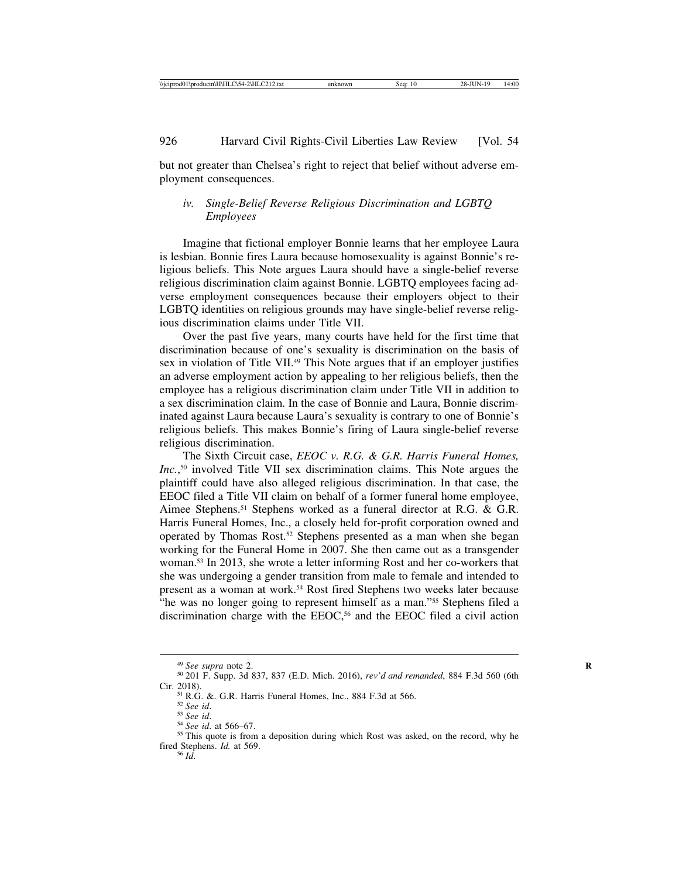but not greater than Chelsea's right to reject that belief without adverse employment consequences.

# *iv. Single-Belief Reverse Religious Discrimination and LGBTQ Employees*

Imagine that fictional employer Bonnie learns that her employee Laura is lesbian. Bonnie fires Laura because homosexuality is against Bonnie's religious beliefs. This Note argues Laura should have a single-belief reverse religious discrimination claim against Bonnie. LGBTQ employees facing adverse employment consequences because their employers object to their LGBTQ identities on religious grounds may have single-belief reverse religious discrimination claims under Title VII.

Over the past five years, many courts have held for the first time that discrimination because of one's sexuality is discrimination on the basis of sex in violation of Title VII.<sup>49</sup> This Note argues that if an employer justifies an adverse employment action by appealing to her religious beliefs, then the employee has a religious discrimination claim under Title VII in addition to a sex discrimination claim. In the case of Bonnie and Laura, Bonnie discriminated against Laura because Laura's sexuality is contrary to one of Bonnie's religious beliefs. This makes Bonnie's firing of Laura single-belief reverse religious discrimination.

The Sixth Circuit case, *EEOC v. R.G. & G.R. Harris Funeral Homes, Inc.*, 50 involved Title VII sex discrimination claims. This Note argues the plaintiff could have also alleged religious discrimination. In that case, the EEOC filed a Title VII claim on behalf of a former funeral home employee, Aimee Stephens.51 Stephens worked as a funeral director at R.G. & G.R. Harris Funeral Homes, Inc., a closely held for-profit corporation owned and operated by Thomas Rost.52 Stephens presented as a man when she began working for the Funeral Home in 2007. She then came out as a transgender woman.53 In 2013, she wrote a letter informing Rost and her co-workers that she was undergoing a gender transition from male to female and intended to present as a woman at work.54 Rost fired Stephens two weeks later because "he was no longer going to represent himself as a man."55 Stephens filed a discrimination charge with the EEOC,<sup>56</sup> and the EEOC filed a civil action

<sup>49</sup> *See supra* note 2. **<sup>R</sup>** <sup>50</sup> 201 F. Supp. 3d 837, 837 (E.D. Mich. 2016), *rev'd and remanded*, 884 F.3d 560 (6th Cir. 2018).<br><sup>51</sup> R.G. &. G.R. Harris Funeral Homes, Inc., 884 F.3d at 566.<br><sup>52</sup> *See id.* 53 *See id.* at 566–67.<br><sup>54</sup> *See id.* at 566–67.<br><sup>55</sup> This quote is from a deposition during which Rost was asked, on the record, w

fired Stephens. *Id.* at 569. <sup>56</sup> *Id*.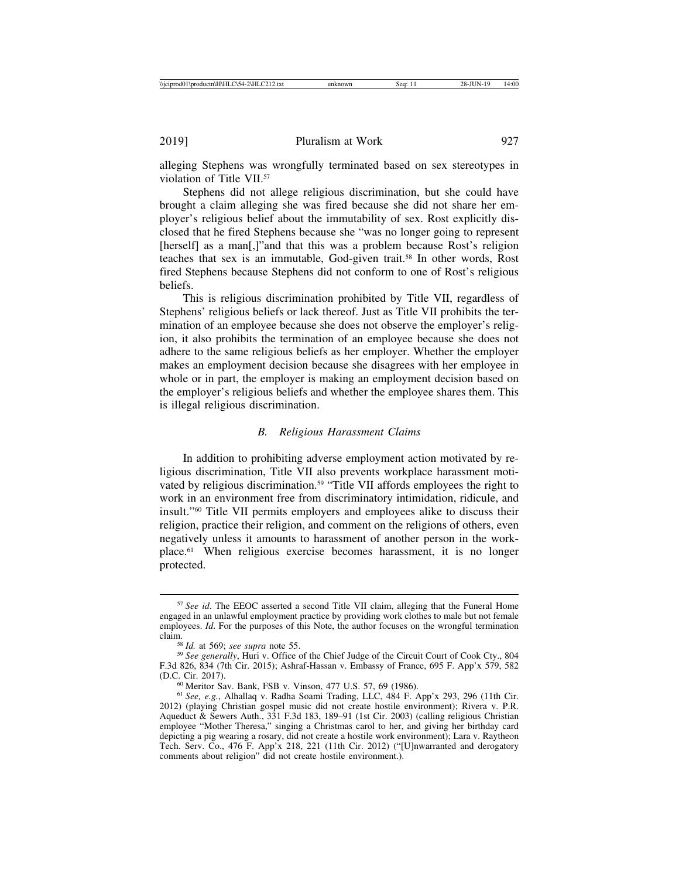alleging Stephens was wrongfully terminated based on sex stereotypes in violation of Title VII.57

Stephens did not allege religious discrimination, but she could have brought a claim alleging she was fired because she did not share her employer's religious belief about the immutability of sex. Rost explicitly disclosed that he fired Stephens because she "was no longer going to represent [herself] as a man[,]"and that this was a problem because Rost's religion teaches that sex is an immutable, God-given trait.58 In other words, Rost fired Stephens because Stephens did not conform to one of Rost's religious beliefs.

This is religious discrimination prohibited by Title VII, regardless of Stephens' religious beliefs or lack thereof. Just as Title VII prohibits the termination of an employee because she does not observe the employer's religion, it also prohibits the termination of an employee because she does not adhere to the same religious beliefs as her employer. Whether the employer makes an employment decision because she disagrees with her employee in whole or in part, the employer is making an employment decision based on the employer's religious beliefs and whether the employee shares them. This is illegal religious discrimination.

## *B. Religious Harassment Claims*

In addition to prohibiting adverse employment action motivated by religious discrimination, Title VII also prevents workplace harassment motivated by religious discrimination.<sup>59</sup> "Title VII affords employees the right to work in an environment free from discriminatory intimidation, ridicule, and insult."60 Title VII permits employers and employees alike to discuss their religion, practice their religion, and comment on the religions of others, even negatively unless it amounts to harassment of another person in the workplace.61 When religious exercise becomes harassment, it is no longer protected.

<sup>57</sup> *See id*. The EEOC asserted a second Title VII claim, alleging that the Funeral Home engaged in an unlawful employment practice by providing work clothes to male but not female employees. *Id*. For the purposes of this Note, the author focuses on the wrongful termination claim. <sup>58</sup> *Id.* at 569; *see supra* note 55. <sup>59</sup> *See generally*, Huri v. Office of the Chief Judge of the Circuit Court of Cook Cty., 804

F.3d 826, 834 (7th Cir. 2015); Ashraf-Hassan v. Embassy of France, 695 F. App'x 579, 582

<sup>&</sup>lt;sup>60</sup> Meritor Sav. Bank, FSB v. Vinson, 477 U.S. 57, 69 (1986).<br><sup>61</sup> *See, e.g.*, Alhallaq v. Radha Soami Trading, LLC, 484 F. App'x 293, 296 (11th Cir. 2012) (playing Christian gospel music did not create hostile environment); Rivera v. P.R. Aqueduct & Sewers Auth., 331 F.3d 183, 189–91 (1st Cir. 2003) (calling religious Christian employee "Mother Theresa," singing a Christmas carol to her, and giving her birthday card depicting a pig wearing a rosary, did not create a hostile work environment); Lara v. Raytheon Tech. Serv. Co., 476 F. App'x 218, 221 (11th Cir. 2012) ("[U]nwarranted and derogatory comments about religion" did not create hostile environment.).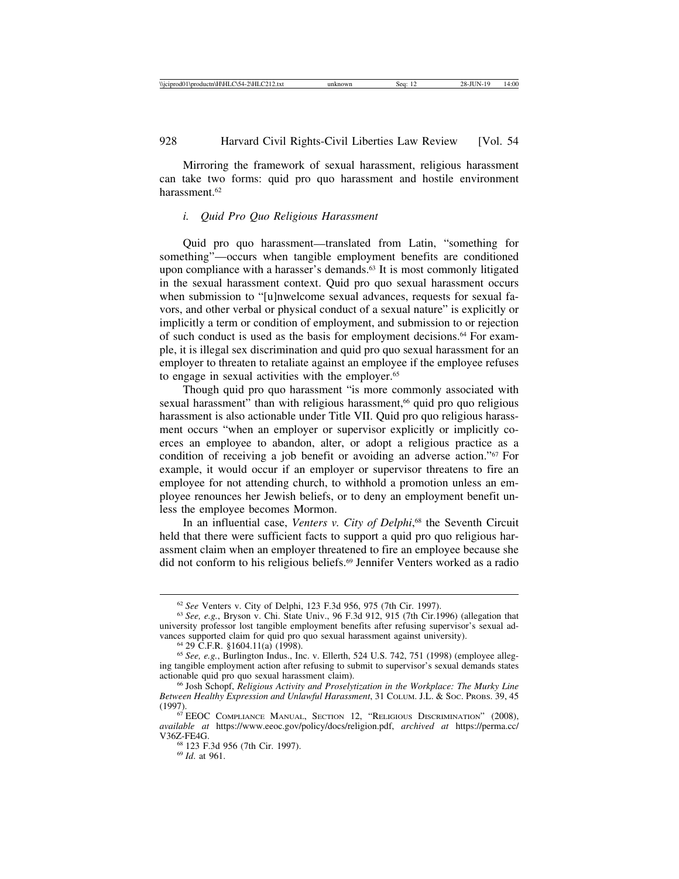Mirroring the framework of sexual harassment, religious harassment can take two forms: quid pro quo harassment and hostile environment harassment<sup>62</sup>

#### *i. Quid Pro Quo Religious Harassment*

Quid pro quo harassment—translated from Latin, "something for something"—occurs when tangible employment benefits are conditioned upon compliance with a harasser's demands.<sup>63</sup> It is most commonly litigated in the sexual harassment context. Quid pro quo sexual harassment occurs when submission to "[u]nwelcome sexual advances, requests for sexual favors, and other verbal or physical conduct of a sexual nature" is explicitly or implicitly a term or condition of employment, and submission to or rejection of such conduct is used as the basis for employment decisions.64 For example, it is illegal sex discrimination and quid pro quo sexual harassment for an employer to threaten to retaliate against an employee if the employee refuses to engage in sexual activities with the employer.<sup>65</sup>

Though quid pro quo harassment "is more commonly associated with sexual harassment" than with religious harassment,<sup>66</sup> quid pro quo religious harassment is also actionable under Title VII. Quid pro quo religious harassment occurs "when an employer or supervisor explicitly or implicitly coerces an employee to abandon, alter, or adopt a religious practice as a condition of receiving a job benefit or avoiding an adverse action."67 For example, it would occur if an employer or supervisor threatens to fire an employee for not attending church, to withhold a promotion unless an employee renounces her Jewish beliefs, or to deny an employment benefit unless the employee becomes Mormon.

In an influential case, *Venters v. City of Delphi*, 68 the Seventh Circuit held that there were sufficient facts to support a quid pro quo religious harassment claim when an employer threatened to fire an employee because she did not conform to his religious beliefs.69 Jennifer Venters worked as a radio

 $62$  *See* Venters v. City of Delphi, 123 F.3d 956, 975 (7th Cir. 1997).<br> $63$  *See, e.g.*, Bryson v. Chi. State Univ., 96 F.3d 912, 915 (7th Cir.1996) (allegation that

university professor lost tangible employment benefits after refusing supervisor's sexual advances supported claim for quid pro quo sexual harassment against university).<br><sup>64</sup> 29 C.F.R. §1604.11(a) (1998).<br><sup>65</sup> *See, e.g.*, Burlington Indus., Inc. v. Ellerth, 524 U.S. 742, 751 (1998) (employee alleg-

ing tangible employment action after refusing to submit to supervisor's sexual demands states

<sup>&</sup>lt;sup>66</sup> Josh Schopf, *Religious Activity and Proselytization in the Workplace: The Murky Line Between Healthy Expression and Unlawful Harassment*, 31 COLUM. J.L. & SOC. PROBS. 39, 45 (1997). <sup>67</sup> EEOC COMPLIANCE MANUAL, SECTION 12, "RELIGIOUS DISCRIMINATION" (2008),

*available at* https://www.eeoc.gov/policy/docs/religion.pdf, *archived at* https://perma.cc/ V36Z-FE4G. <sup>68</sup> 123 F.3d 956 (7th Cir. 1997). <sup>69</sup> *Id*. at 961.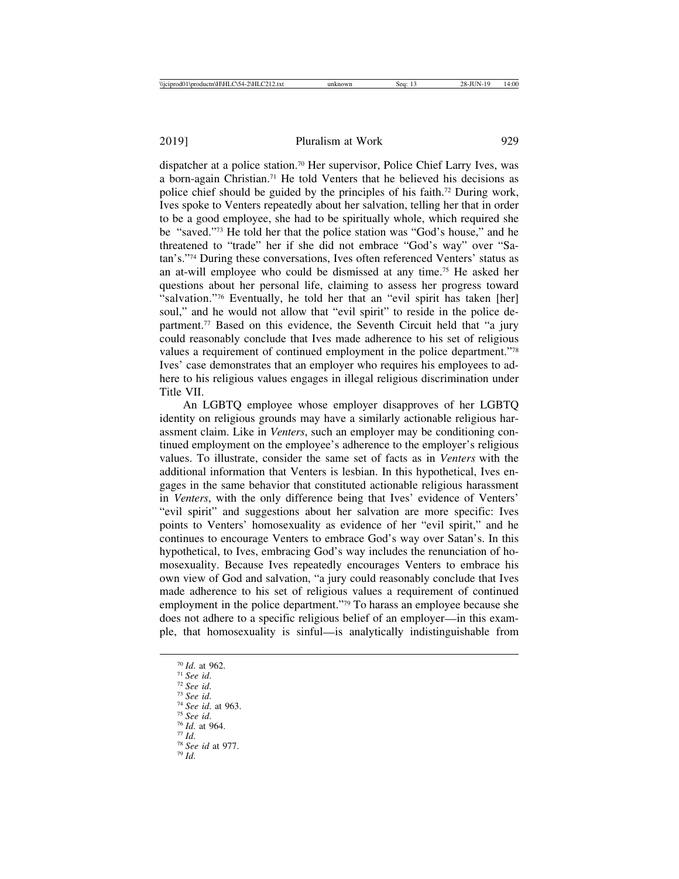dispatcher at a police station.70 Her supervisor, Police Chief Larry Ives, was a born-again Christian.71 He told Venters that he believed his decisions as police chief should be guided by the principles of his faith.72 During work, Ives spoke to Venters repeatedly about her salvation, telling her that in order to be a good employee, she had to be spiritually whole, which required she be "saved."73 He told her that the police station was "God's house," and he threatened to "trade" her if she did not embrace "God's way" over "Satan's."74 During these conversations, Ives often referenced Venters' status as an at-will employee who could be dismissed at any time.75 He asked her questions about her personal life, claiming to assess her progress toward "salvation."76 Eventually, he told her that an "evil spirit has taken [her] soul," and he would not allow that "evil spirit" to reside in the police department.77 Based on this evidence, the Seventh Circuit held that "a jury could reasonably conclude that Ives made adherence to his set of religious values a requirement of continued employment in the police department."78 Ives' case demonstrates that an employer who requires his employees to adhere to his religious values engages in illegal religious discrimination under Title VII.

An LGBTQ employee whose employer disapproves of her LGBTQ identity on religious grounds may have a similarly actionable religious harassment claim. Like in *Venters*, such an employer may be conditioning continued employment on the employee's adherence to the employer's religious values. To illustrate, consider the same set of facts as in *Venters* with the additional information that Venters is lesbian. In this hypothetical, Ives engages in the same behavior that constituted actionable religious harassment in *Venters*, with the only difference being that Ives' evidence of Venters' "evil spirit" and suggestions about her salvation are more specific: Ives points to Venters' homosexuality as evidence of her "evil spirit," and he continues to encourage Venters to embrace God's way over Satan's. In this hypothetical, to Ives, embracing God's way includes the renunciation of homosexuality. Because Ives repeatedly encourages Venters to embrace his own view of God and salvation, "a jury could reasonably conclude that Ives made adherence to his set of religious values a requirement of continued employment in the police department."<sup>79</sup> To harass an employee because she does not adhere to a specific religious belief of an employer—in this example, that homosexuality is sinful—is analytically indistinguishable from

- 
- 70 *Id*. at 962. 71 *See id*. 72 *See id*. 73 *See id*. 74 *See id*. at 963. 75 *See id*. 76 *Id*. at 964. 77 *Id*. 78 *See id* at 977. 79 *Id*.
-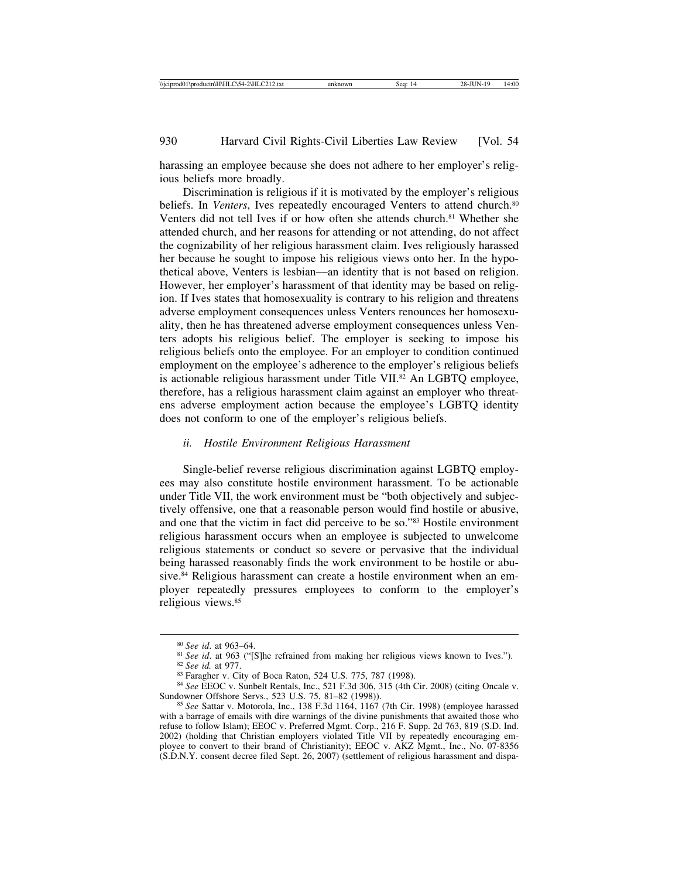harassing an employee because she does not adhere to her employer's religious beliefs more broadly.

Discrimination is religious if it is motivated by the employer's religious beliefs. In *Venters*, Ives repeatedly encouraged Venters to attend church.<sup>80</sup> Venters did not tell Ives if or how often she attends church.<sup>81</sup> Whether she attended church, and her reasons for attending or not attending, do not affect the cognizability of her religious harassment claim. Ives religiously harassed her because he sought to impose his religious views onto her. In the hypothetical above, Venters is lesbian––an identity that is not based on religion. However, her employer's harassment of that identity may be based on religion. If Ives states that homosexuality is contrary to his religion and threatens adverse employment consequences unless Venters renounces her homosexuality, then he has threatened adverse employment consequences unless Venters adopts his religious belief. The employer is seeking to impose his religious beliefs onto the employee. For an employer to condition continued employment on the employee's adherence to the employer's religious beliefs is actionable religious harassment under Title VII.<sup>82</sup> An LGBTO employee, therefore, has a religious harassment claim against an employer who threatens adverse employment action because the employee's LGBTQ identity does not conform to one of the employer's religious beliefs.

#### *ii. Hostile Environment Religious Harassment*

Single-belief reverse religious discrimination against LGBTQ employees may also constitute hostile environment harassment. To be actionable under Title VII, the work environment must be "both objectively and subjectively offensive, one that a reasonable person would find hostile or abusive, and one that the victim in fact did perceive to be so."83 Hostile environment religious harassment occurs when an employee is subjected to unwelcome religious statements or conduct so severe or pervasive that the individual being harassed reasonably finds the work environment to be hostile or abusive.<sup>84</sup> Religious harassment can create a hostile environment when an employer repeatedly pressures employees to conform to the employer's religious views.85

<sup>&</sup>lt;sup>80</sup> See id. at 963–64.<br><sup>81</sup> See id. at 963 ("[S]he refrained from making her religious views known to Ives.").<br><sup>82</sup> See id. at 977.<br><sup>83</sup> Faragher v. City of Boca Raton, 524 U.S. 775, 787 (1998).<br><sup>84</sup> See EEOC v. Sunbelt

Sundowner Offshore Servs., 523 U.S. 75, 81–82 (1998)). <sup>85</sup> *See* Sattar v. Motorola, Inc., 138 F.3d 1164, 1167 (7th Cir. 1998) (employee harassed

with a barrage of emails with dire warnings of the divine punishments that awaited those who refuse to follow Islam); EEOC v. Preferred Mgmt. Corp., 216 F. Supp. 2d 763, 819 (S.D. Ind. 2002) (holding that Christian employers violated Title VII by repeatedly encouraging employee to convert to their brand of Christianity); EEOC v. AKZ Mgmt., Inc., No. 07-8356 (S.D.N.Y. consent decree filed Sept. 26, 2007) (settlement of religious harassment and dispa-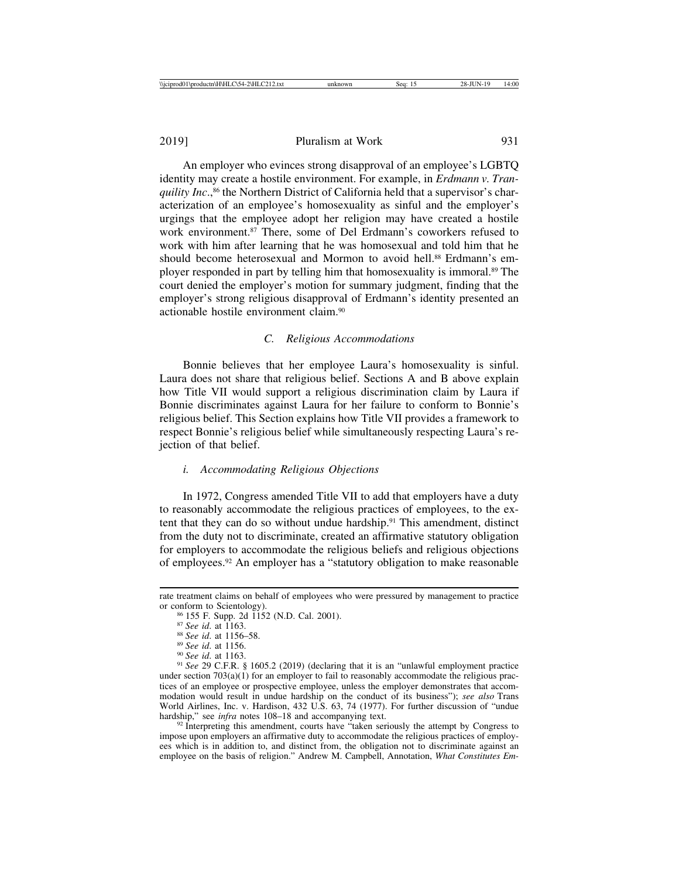An employer who evinces strong disapproval of an employee's LGBTQ identity may create a hostile environment. For example, in *Erdmann v. Tranquility Inc.*,<sup>86</sup> the Northern District of California held that a supervisor's characterization of an employee's homosexuality as sinful and the employer's urgings that the employee adopt her religion may have created a hostile work environment.<sup>87</sup> There, some of Del Erdmann's coworkers refused to work with him after learning that he was homosexual and told him that he should become heterosexual and Mormon to avoid hell.<sup>88</sup> Erdmann's employer responded in part by telling him that homosexuality is immoral.89 The court denied the employer's motion for summary judgment, finding that the employer's strong religious disapproval of Erdmann's identity presented an actionable hostile environment claim.90

## *C. Religious Accommodations*

Bonnie believes that her employee Laura's homosexuality is sinful. Laura does not share that religious belief. Sections A and B above explain how Title VII would support a religious discrimination claim by Laura if Bonnie discriminates against Laura for her failure to conform to Bonnie's religious belief. This Section explains how Title VII provides a framework to respect Bonnie's religious belief while simultaneously respecting Laura's rejection of that belief.

#### *i. Accommodating Religious Objections*

In 1972, Congress amended Title VII to add that employers have a duty to reasonably accommodate the religious practices of employees, to the extent that they can do so without undue hardship.91 This amendment, distinct from the duty not to discriminate, created an affirmative statutory obligation for employers to accommodate the religious beliefs and religious objections of employees.92 An employer has a "statutory obligation to make reasonable

under section  $703(a)(1)$  for an employer to fail to reasonably accommodate the religious practices of an employee or prospective employee, unless the employer demonstrates that accommodation would result in undue hardship on the conduct of its business"); *see also* Trans World Airlines, Inc. v. Hardison, 432 U.S. 63, 74 (1977). For further discussion of "undue hardship," see *infra* notes 108–18 and accompanying text.

<sup>92</sup> Interpreting this amendment, courts have "taken seriously the attempt by Congress to impose upon employers an affirmative duty to accommodate the religious practices of employees which is in addition to, and distinct from, the obligation not to discriminate against an employee on the basis of religion." Andrew M. Campbell, Annotation, *What Constitutes Em-*

rate treatment claims on behalf of employees who were pressured by management to practice or conform to Scientology).<br>
<sup>86</sup> 155 F. Supp. 2d 1152 (N.D. Cal. 2001).<br>
<sup>87</sup> See id. at 1165.<br>
<sup>88</sup> See id. at 1156-58.<br>
<sup>89</sup> See id. at 1156.<br>
<sup>99</sup> See id. at 1163.<br>
<sup>99</sup> See 29 C.F.R. § 1605.2 (2019) (declaring that i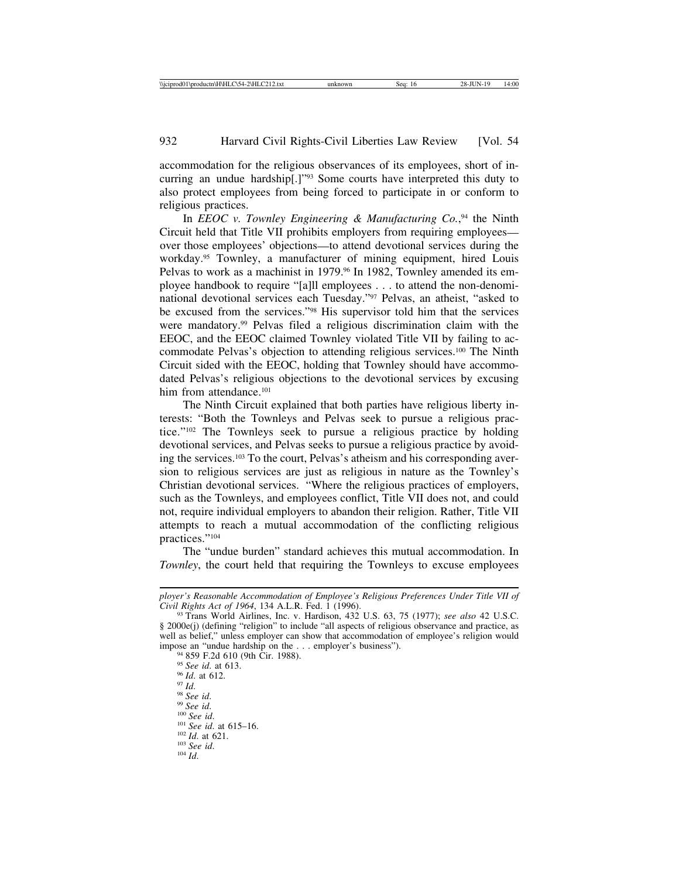accommodation for the religious observances of its employees, short of incurring an undue hardship[.]"93 Some courts have interpreted this duty to also protect employees from being forced to participate in or conform to religious practices.

In *EEOC v. Townley Engineering & Manufacturing Co.*, 94 the Ninth Circuit held that Title VII prohibits employers from requiring employees over those employees' objections—to attend devotional services during the workday.95 Townley, a manufacturer of mining equipment, hired Louis Pelvas to work as a machinist in 1979.<sup>96</sup> In 1982, Townley amended its employee handbook to require "[a]ll employees . . . to attend the non-denominational devotional services each Tuesday."97 Pelvas, an atheist, "asked to be excused from the services."98 His supervisor told him that the services were mandatory.99 Pelvas filed a religious discrimination claim with the EEOC, and the EEOC claimed Townley violated Title VII by failing to accommodate Pelvas's objection to attending religious services.100 The Ninth Circuit sided with the EEOC, holding that Townley should have accommodated Pelvas's religious objections to the devotional services by excusing him from attendance.<sup>101</sup>

The Ninth Circuit explained that both parties have religious liberty interests: "Both the Townleys and Pelvas seek to pursue a religious practice."102 The Townleys seek to pursue a religious practice by holding devotional services, and Pelvas seeks to pursue a religious practice by avoiding the services.103 To the court, Pelvas's atheism and his corresponding aversion to religious services are just as religious in nature as the Townley's Christian devotional services. "Where the religious practices of employers, such as the Townleys, and employees conflict, Title VII does not, and could not, require individual employers to abandon their religion. Rather, Title VII attempts to reach a mutual accommodation of the conflicting religious practices."104

The "undue burden" standard achieves this mutual accommodation. In *Townley*, the court held that requiring the Townleys to excuse employees

impose an "undue hardship on the . . . employer's business").<br>
<sup>94</sup> 859 F.2d 610 (9th Cir. 1988).<br>
<sup>95</sup> *See id.* at 613.<br>
<sup>96</sup> *Id.* at 612.<br>
<sup>99</sup> *See id.*<br>
<sup>99</sup> *See id.*<br>
<sup>99</sup> *See id.*<br>
<sup>99</sup> *See id.*<br>
<sup>100</sup> *See id.* 

*ployer's Reasonable Accommodation of Employee's Religious Preferences Under Title VII of*

<sup>&</sup>lt;sup>93</sup> Trans World Airlines, Inc. v. Hardison, 432 U.S. 63, 75 (1977); *see also* 42 U.S.C. § 2000e(j) (defining "religion" to include "all aspects of religious observance and practice, as well as belief," unless employer can show that accommodation of employee's religion would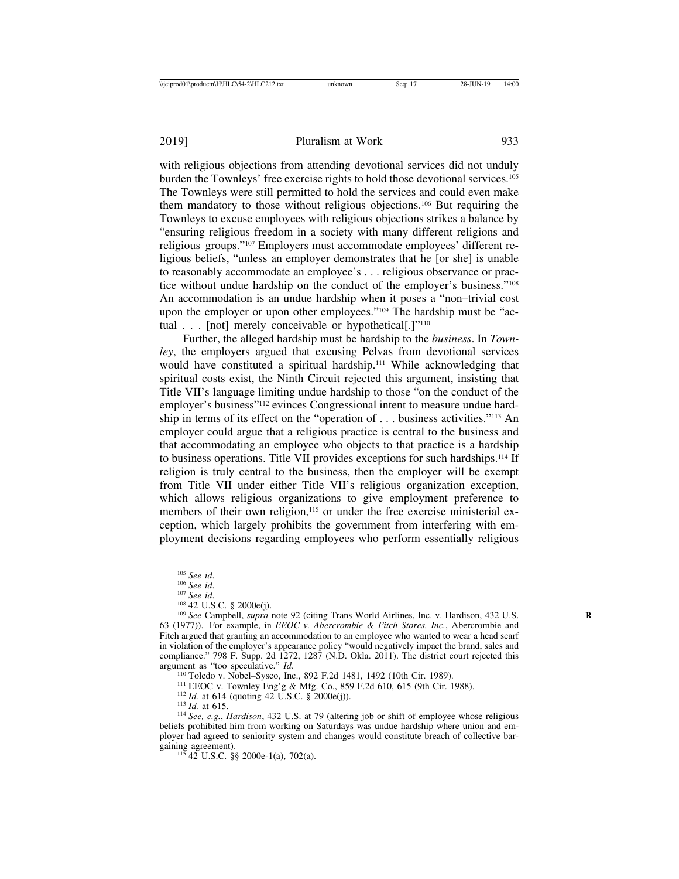with religious objections from attending devotional services did not unduly burden the Townleys' free exercise rights to hold those devotional services.105 The Townleys were still permitted to hold the services and could even make them mandatory to those without religious objections.106 But requiring the Townleys to excuse employees with religious objections strikes a balance by "ensuring religious freedom in a society with many different religions and religious groups."107 Employers must accommodate employees' different religious beliefs, "unless an employer demonstrates that he [or she] is unable to reasonably accommodate an employee's . . . religious observance or practice without undue hardship on the conduct of the employer's business."108 An accommodation is an undue hardship when it poses a "non–trivial cost upon the employer or upon other employees."<sup>109</sup> The hardship must be "actual . . . [not] merely conceivable or hypothetical[.]"<sup>110</sup>

Further, the alleged hardship must be hardship to the *business*. In *Townley*, the employers argued that excusing Pelvas from devotional services would have constituted a spiritual hardship.111 While acknowledging that spiritual costs exist, the Ninth Circuit rejected this argument, insisting that Title VII's language limiting undue hardship to those "on the conduct of the employer's business"<sup>112</sup> evinces Congressional intent to measure undue hardship in terms of its effect on the "operation of . . . business activities."113 An employer could argue that a religious practice is central to the business and that accommodating an employee who objects to that practice is a hardship to business operations. Title VII provides exceptions for such hardships.114 If religion is truly central to the business, then the employer will be exempt from Title VII under either Title VII's religious organization exception, which allows religious organizations to give employment preference to members of their own religion,<sup>115</sup> or under the free exercise ministerial exception, which largely prohibits the government from interfering with employment decisions regarding employees who perform essentially religious

<sup>110</sup> Toledo v. Nobel–Sysco, Inc., 892 F.2d 1481, 1492 (10th Cir. 1989).<br><sup>111</sup> EEOC v. Townley Eng'g & Mfg. Co., 859 F.2d 610, 615 (9th Cir. 1988).<br><sup>112</sup> *Id.* at 614 (quoting 42 U.S.C. § 2000e(j)).<br><sup>113</sup> *Id.* at 615.<br><sup>1</sup> beliefs prohibited him from working on Saturdays was undue hardship where union and employer had agreed to seniority system and changes would constitute breach of collective bargaining agreement).<br><sup>115</sup> 42 U.S.C. §§ 2000e-1(a), 702(a).

<sup>&</sup>lt;sup>105</sup> *See id.* <sup>106</sup> *See id.* <sup>106</sup> *See id.* <sup>107</sup> *See id.* <sup>107</sup> *See id.* <sup>108</sup> 42 U.S.C. § 2000e(j). <sup>109</sup> *See* Campbell, *supra* note 92 (citing Trans World Airlines, Inc. v. Hardison, 432 U.S. 63 (1977)). For example, in *EEOC v. Abercrombie & Fitch Stores, Inc.*, Abercrombie and Fitch argued that granting an accommodation to an employee who wanted to wear a head scarf in violation of the employer's appearance policy "would negatively impact the brand, sales and compliance." 798 F. Supp. 2d 1272, 1287 (N.D. Okla. 2011). The district court rejected this argument as "too speculative."  $Id$ .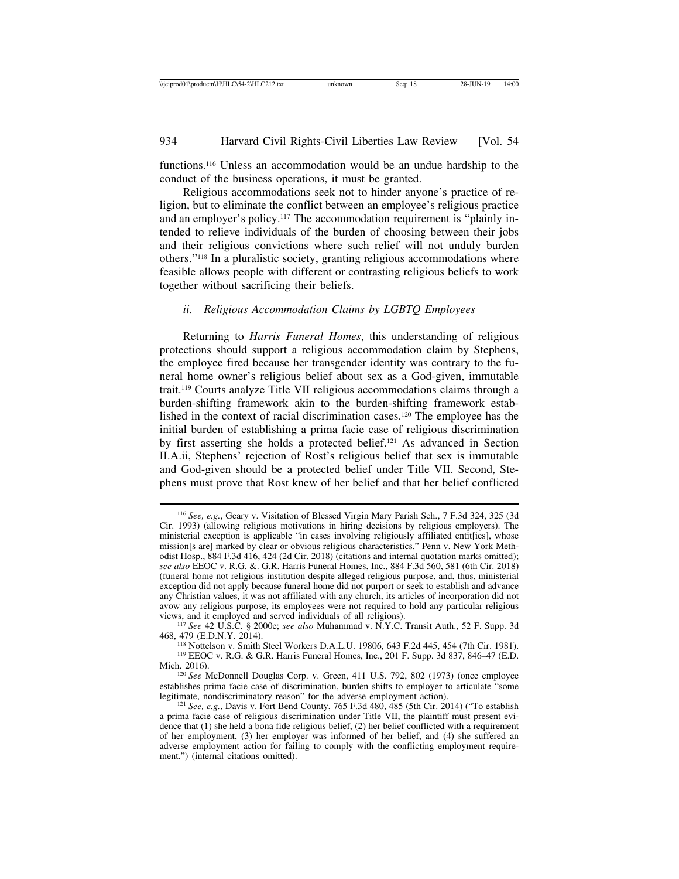functions.116 Unless an accommodation would be an undue hardship to the conduct of the business operations, it must be granted.

Religious accommodations seek not to hinder anyone's practice of religion, but to eliminate the conflict between an employee's religious practice and an employer's policy.<sup>117</sup> The accommodation requirement is "plainly intended to relieve individuals of the burden of choosing between their jobs and their religious convictions where such relief will not unduly burden others."118 In a pluralistic society, granting religious accommodations where feasible allows people with different or contrasting religious beliefs to work together without sacrificing their beliefs.

# *ii. Religious Accommodation Claims by LGBTQ Employees*

Returning to *Harris Funeral Homes*, this understanding of religious protections should support a religious accommodation claim by Stephens, the employee fired because her transgender identity was contrary to the funeral home owner's religious belief about sex as a God-given, immutable trait.119 Courts analyze Title VII religious accommodations claims through a burden-shifting framework akin to the burden-shifting framework established in the context of racial discrimination cases.120 The employee has the initial burden of establishing a prima facie case of religious discrimination by first asserting she holds a protected belief.121 As advanced in Section II.A.ii, Stephens' rejection of Rost's religious belief that sex is immutable and God-given should be a protected belief under Title VII. Second, Stephens must prove that Rost knew of her belief and that her belief conflicted

<sup>116</sup> *See, e.g.*, Geary v. Visitation of Blessed Virgin Mary Parish Sch., 7 F.3d 324, 325 (3d Cir. 1993) (allowing religious motivations in hiring decisions by religious employers). The ministerial exception is applicable "in cases involving religiously affiliated entit[ies], whose mission[s are] marked by clear or obvious religious characteristics." Penn v. New York Methodist Hosp., 884 F.3d 416, 424 (2d Cir. 2018) (citations and internal quotation marks omitted); *see also* EEOC v. R.G. &. G.R. Harris Funeral Homes, Inc., 884 F.3d 560, 581 (6th Cir. 2018) (funeral home not religious institution despite alleged religious purpose, and, thus, ministerial exception did not apply because funeral home did not purport or seek to establish and advance any Christian values, it was not affiliated with any church, its articles of incorporation did not avow any religious purpose, its employees were not required to hold any particular religious views, and it employed and served individuals of all religions).

<sup>&</sup>lt;sup>117</sup> See 42 U.S.C. § 2000e; *see also* Muhammad v. N.Y.C. Transit Auth., 52 F. Supp. 3d 468, 479 (E.D.N.Y. 2014).

<sup>&</sup>lt;sup>118</sup> Nottelson v. Smith Steel Workers D.A.L.U. 19806, 643 F.2d 445, 454 (7th Cir. 1981). <sup>119</sup> EEOC v. R.G. & G.R. Harris Funeral Homes, Inc., 201 F. Supp. 3d 837, 846–47 (E.D. Mich. 2016). <sup>120</sup> *See* McDonnell Douglas Corp. v. Green, 411 U.S. 792, 802 (1973) (once employee

establishes prima facie case of discrimination, burden shifts to employer to articulate "some legitimate, nondiscriminatory reason" for the adverse employment action).

<sup>&</sup>lt;sup>121</sup> *See, e.g.*, Davis v. Fort Bend County, 765 F.3d 480, 485 (5th Cir. 2014) ("To establish a prima facie case of religious discrimination under Title VII, the plaintiff must present evidence that (1) she held a bona fide religious belief, (2) her belief conflicted with a requirement of her employment, (3) her employer was informed of her belief, and (4) she suffered an adverse employment action for failing to comply with the conflicting employment requirement.") (internal citations omitted).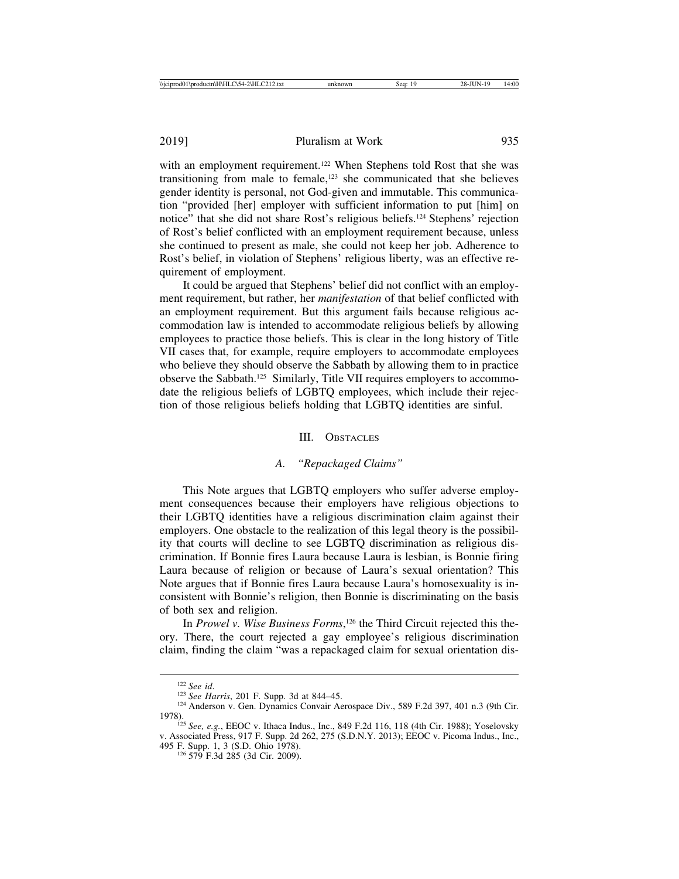with an employment requirement.<sup>122</sup> When Stephens told Rost that she was transitioning from male to female,123 she communicated that she believes gender identity is personal, not God-given and immutable. This communication "provided [her] employer with sufficient information to put [him] on notice" that she did not share Rost's religious beliefs.124 Stephens' rejection of Rost's belief conflicted with an employment requirement because, unless she continued to present as male, she could not keep her job. Adherence to Rost's belief, in violation of Stephens' religious liberty, was an effective requirement of employment.

It could be argued that Stephens' belief did not conflict with an employment requirement, but rather, her *manifestation* of that belief conflicted with an employment requirement. But this argument fails because religious accommodation law is intended to accommodate religious beliefs by allowing employees to practice those beliefs. This is clear in the long history of Title VII cases that, for example, require employers to accommodate employees who believe they should observe the Sabbath by allowing them to in practice observe the Sabbath.125 Similarly, Title VII requires employers to accommodate the religious beliefs of LGBTQ employees, which include their rejection of those religious beliefs holding that LGBTQ identities are sinful.

#### III. OBSTACLES

## *A. "Repackaged Claims"*

This Note argues that LGBTQ employers who suffer adverse employment consequences because their employers have religious objections to their LGBTQ identities have a religious discrimination claim against their employers. One obstacle to the realization of this legal theory is the possibility that courts will decline to see LGBTQ discrimination as religious discrimination. If Bonnie fires Laura because Laura is lesbian, is Bonnie firing Laura because of religion or because of Laura's sexual orientation? This Note argues that if Bonnie fires Laura because Laura's homosexuality is inconsistent with Bonnie's religion, then Bonnie is discriminating on the basis of both sex and religion.

In *Prowel v. Wise Business Forms*, 126 the Third Circuit rejected this theory. There, the court rejected a gay employee's religious discrimination claim, finding the claim "was a repackaged claim for sexual orientation dis-

<sup>122</sup> *See id*. <sup>123</sup> *See Harris*, 201 F. Supp. 3d at 844–45. <sup>124</sup> Anderson v. Gen. Dynamics Convair Aerospace Div., 589 F.2d 397, 401 n.3 (9th Cir.

<sup>&</sup>lt;sup>125</sup> *See, e.g.*, EEOC v. Ithaca Indus., Inc., 849 F.2d 116, 118 (4th Cir. 1988); Yoselovsky v. Associated Press, 917 F. Supp. 2d 262, 275 (S.D.N.Y. 2013); EEOC v. Picoma Indus., Inc.,

<sup>&</sup>lt;sup>126</sup> 579 F.3d 285 (3d Cir. 2009).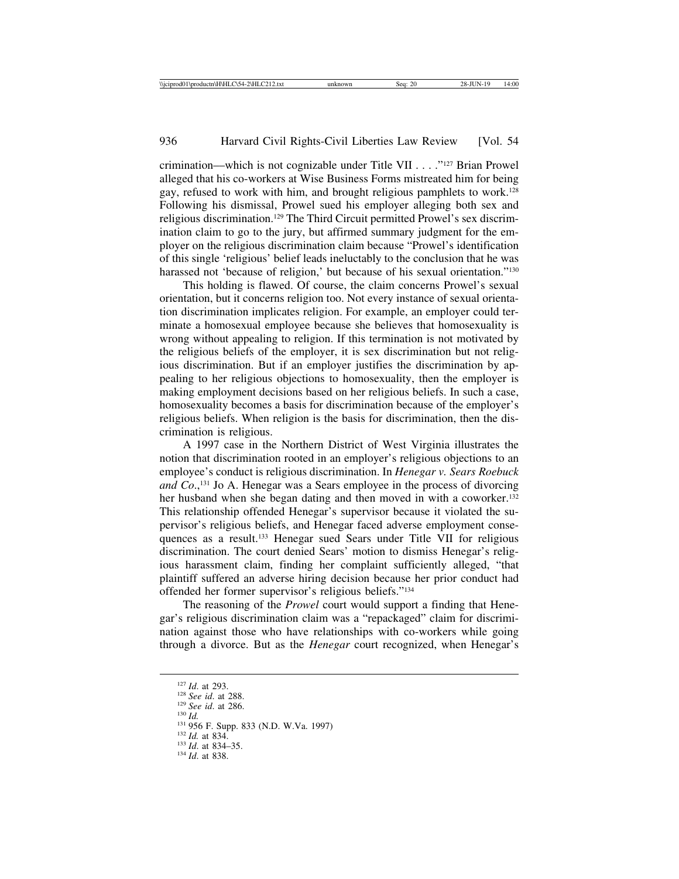crimination––which is not cognizable under Title VII . . . ."127 Brian Prowel alleged that his co-workers at Wise Business Forms mistreated him for being gay, refused to work with him, and brought religious pamphlets to work.128 Following his dismissal, Prowel sued his employer alleging both sex and religious discrimination.129 The Third Circuit permitted Prowel's sex discrimination claim to go to the jury, but affirmed summary judgment for the employer on the religious discrimination claim because "Prowel's identification of this single 'religious' belief leads ineluctably to the conclusion that he was harassed not 'because of religion,' but because of his sexual orientation."<sup>130</sup>

This holding is flawed. Of course, the claim concerns Prowel's sexual orientation, but it concerns religion too. Not every instance of sexual orientation discrimination implicates religion. For example, an employer could terminate a homosexual employee because she believes that homosexuality is wrong without appealing to religion. If this termination is not motivated by the religious beliefs of the employer, it is sex discrimination but not religious discrimination. But if an employer justifies the discrimination by appealing to her religious objections to homosexuality, then the employer is making employment decisions based on her religious beliefs. In such a case, homosexuality becomes a basis for discrimination because of the employer's religious beliefs. When religion is the basis for discrimination, then the discrimination is religious.

A 1997 case in the Northern District of West Virginia illustrates the notion that discrimination rooted in an employer's religious objections to an employee's conduct is religious discrimination. In *Henegar v. Sears Roebuck and Co.*,<sup>131</sup> Jo A. Henegar was a Sears employee in the process of divorcing her husband when she began dating and then moved in with a coworker.<sup>132</sup> This relationship offended Henegar's supervisor because it violated the supervisor's religious beliefs, and Henegar faced adverse employment consequences as a result.133 Henegar sued Sears under Title VII for religious discrimination. The court denied Sears' motion to dismiss Henegar's religious harassment claim, finding her complaint sufficiently alleged, "that plaintiff suffered an adverse hiring decision because her prior conduct had offended her former supervisor's religious beliefs."134

The reasoning of the *Prowel* court would support a finding that Henegar's religious discrimination claim was a "repackaged" claim for discrimination against those who have relationships with co-workers while going through a divorce. But as the *Henegar* court recognized, when Henegar's

<sup>1&</sup>lt;sup>28</sup> *Id.* at 293.<br><sup>128</sup> *See id.* at 288.<br><sup>130</sup> *Id.* 130 *Id.* 131 956 F. Supp. 833 (N.D. W.Va. 1997)<br><sup>131</sup> *Id.* at 834. 135.<br><sup>134</sup> *Id.* at 838. 134 *Id.* at 838.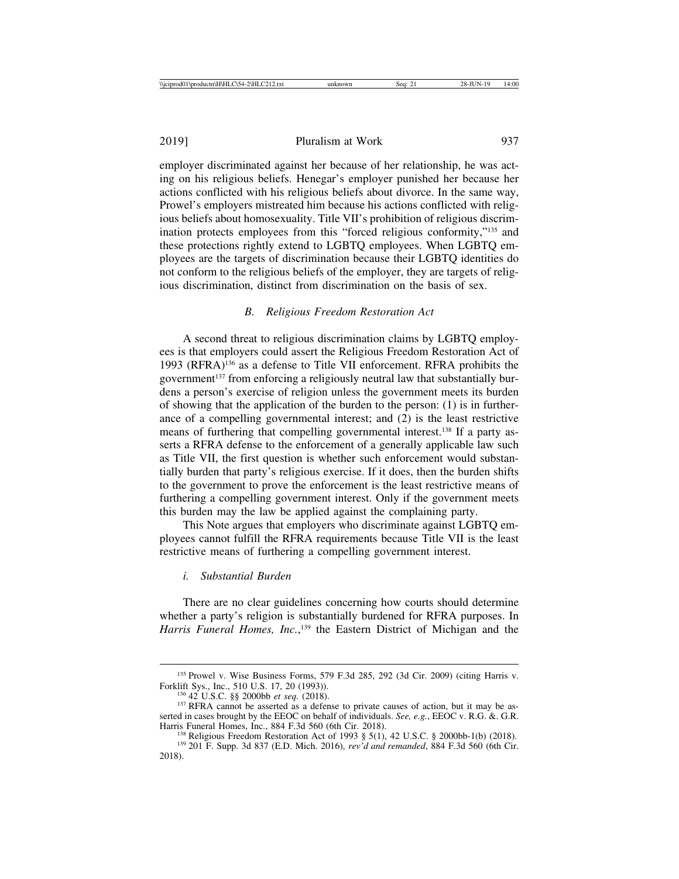employer discriminated against her because of her relationship, he was acting on his religious beliefs. Henegar's employer punished her because her actions conflicted with his religious beliefs about divorce. In the same way, Prowel's employers mistreated him because his actions conflicted with religious beliefs about homosexuality. Title VII's prohibition of religious discrimination protects employees from this "forced religious conformity,"135 and these protections rightly extend to LGBTQ employees. When LGBTQ employees are the targets of discrimination because their LGBTQ identities do not conform to the religious beliefs of the employer, they are targets of religious discrimination, distinct from discrimination on the basis of sex.

## *B. Religious Freedom Restoration Act*

A second threat to religious discrimination claims by LGBTQ employees is that employers could assert the Religious Freedom Restoration Act of 1993 (RFRA)136 as a defense to Title VII enforcement. RFRA prohibits the government137 from enforcing a religiously neutral law that substantially burdens a person's exercise of religion unless the government meets its burden of showing that the application of the burden to the person: (1) is in furtherance of a compelling governmental interest; and (2) is the least restrictive means of furthering that compelling governmental interest.138 If a party asserts a RFRA defense to the enforcement of a generally applicable law such as Title VII, the first question is whether such enforcement would substantially burden that party's religious exercise. If it does, then the burden shifts to the government to prove the enforcement is the least restrictive means of furthering a compelling government interest. Only if the government meets this burden may the law be applied against the complaining party.

This Note argues that employers who discriminate against LGBTQ employees cannot fulfill the RFRA requirements because Title VII is the least restrictive means of furthering a compelling government interest.

## *i. Substantial Burden*

There are no clear guidelines concerning how courts should determine whether a party's religion is substantially burdened for RFRA purposes. In *Harris Funeral Homes, Inc.*, 139 the Eastern District of Michigan and the

<sup>&</sup>lt;sup>135</sup> Prowel v. Wise Business Forms, 579 F.3d 285, 292 (3d Cir. 2009) (citing Harris v. Forklift Sys., Inc., 510 U.S. 17, 20 (1993)).

<sup>&</sup>lt;sup>136</sup> 42 U.S.C. §§ 2000bb *et seq.* (2018). <sup>137</sup> RFRA cannot be asserted as a defense to private causes of action, but it may be asserted in cases brought by the EEOC on behalf of individuals. *See, e.g.*, EEOC v. R.G. &. G.R.

<sup>&</sup>lt;sup>138</sup> Religious Freedom Restoration Act of 1993 § 5(1), 42 U.S.C. § 2000bb-1(b) (2018).<br><sup>139</sup> 201 F. Supp. 3d 837 (E.D. Mich. 2016), *rev'd and remanded*, 884 F.3d 560 (6th Cir. 2018).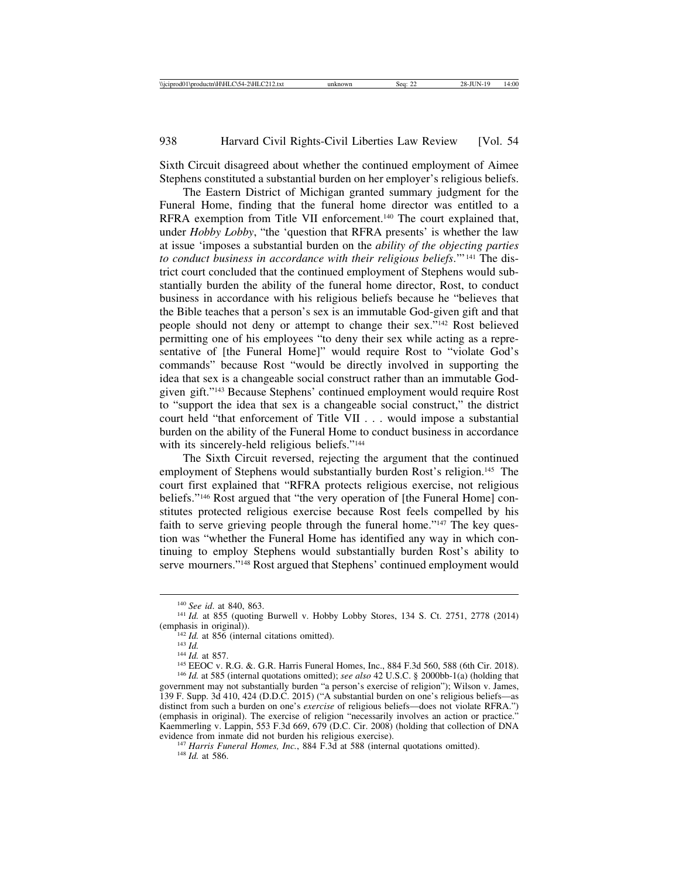Sixth Circuit disagreed about whether the continued employment of Aimee Stephens constituted a substantial burden on her employer's religious beliefs.

The Eastern District of Michigan granted summary judgment for the Funeral Home, finding that the funeral home director was entitled to a RFRA exemption from Title VII enforcement.140 The court explained that, under *Hobby Lobby*, "the 'question that RFRA presents' is whether the law at issue 'imposes a substantial burden on the *ability of the objecting parties to conduct business in accordance with their religious beliefs*.'" 141 The district court concluded that the continued employment of Stephens would substantially burden the ability of the funeral home director, Rost, to conduct business in accordance with his religious beliefs because he "believes that the Bible teaches that a person's sex is an immutable God-given gift and that people should not deny or attempt to change their sex."142 Rost believed permitting one of his employees "to deny their sex while acting as a representative of [the Funeral Home]" would require Rost to "violate God's commands" because Rost "would be directly involved in supporting the idea that sex is a changeable social construct rather than an immutable Godgiven gift."143 Because Stephens' continued employment would require Rost to "support the idea that sex is a changeable social construct," the district court held "that enforcement of Title VII . . . would impose a substantial burden on the ability of the Funeral Home to conduct business in accordance with its sincerely-held religious beliefs."<sup>144</sup>

The Sixth Circuit reversed, rejecting the argument that the continued employment of Stephens would substantially burden Rost's religion.<sup>145</sup> The court first explained that "RFRA protects religious exercise, not religious beliefs."146 Rost argued that "the very operation of [the Funeral Home] constitutes protected religious exercise because Rost feels compelled by his faith to serve grieving people through the funeral home."<sup>147</sup> The key question was "whether the Funeral Home has identified any way in which continuing to employ Stephens would substantially burden Rost's ability to serve mourners."148 Rost argued that Stephens' continued employment would

Kaemmerling v. Lappin, 553 F.3d 669, 679 (D.C. Cir. 2008) (holding that collection of DNA evidence from inmate did not burden his religious exercise).

<sup>147</sup> Harris Funeral Homes, Inc., 884 F.3d at 588 (internal quotations omitted). <sup>148</sup> Id. at 586.

<sup>&</sup>lt;sup>140</sup> *See id.* at 840, 863. 1<sup>141</sup> *Id.* at 855 (quoting Burwell v. Hobby Lobby Stores, 134 S. Ct. 2751, 2778 (2014) (emphasis in original)).

<sup>&</sup>lt;sup>142</sup> *Id.* at 856 (internal citations omitted).<br><sup>143</sup> *Id.*<br><sup>143</sup> *Id.* at 857.<br><sup>145</sup> EEOC v. R.G. &. G.R. Harris Funeral Homes, Inc., 884 F.3d 560, 588 (6th Cir. 2018).<br><sup>146</sup> *Id.* at 585 (internal quotations omitted); government may not substantially burden "a person's exercise of religion"); Wilson v. James, 139 F. Supp. 3d 410, 424 (D.D.C. 2015) ("A substantial burden on one's religious beliefs––as distinct from such a burden on one's *exercise* of religious beliefs––does not violate RFRA.") (emphasis in original). The exercise of religion "necessarily involves an action or practice."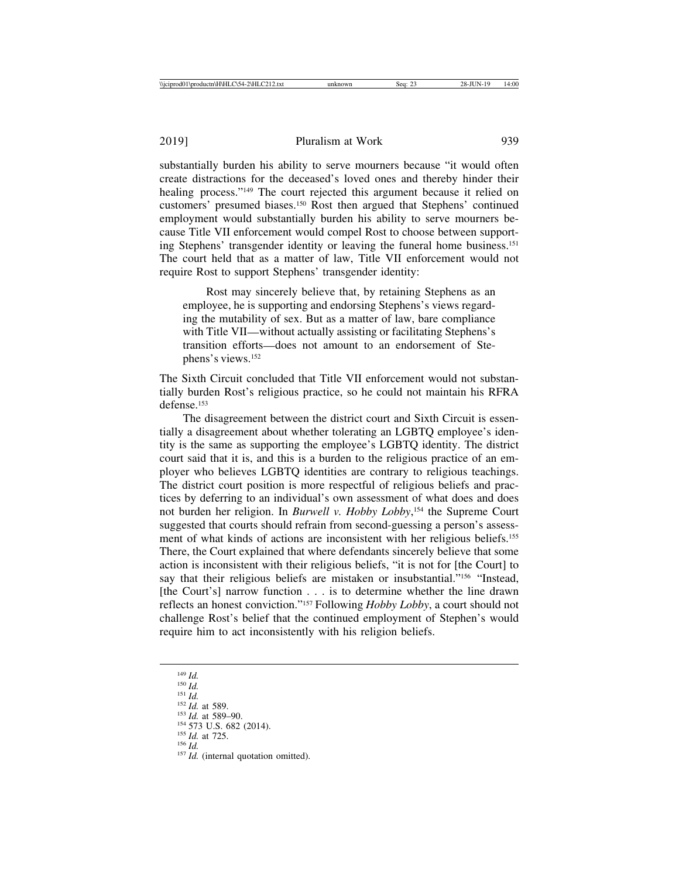substantially burden his ability to serve mourners because "it would often create distractions for the deceased's loved ones and thereby hinder their healing process."149 The court rejected this argument because it relied on customers' presumed biases.150 Rost then argued that Stephens' continued employment would substantially burden his ability to serve mourners because Title VII enforcement would compel Rost to choose between supporting Stephens' transgender identity or leaving the funeral home business.151 The court held that as a matter of law, Title VII enforcement would not require Rost to support Stephens' transgender identity:

Rost may sincerely believe that, by retaining Stephens as an employee, he is supporting and endorsing Stephens's views regarding the mutability of sex. But as a matter of law, bare compliance with Title VII—without actually assisting or facilitating Stephens's transition efforts—does not amount to an endorsement of Stephens's views.152

The Sixth Circuit concluded that Title VII enforcement would not substantially burden Rost's religious practice, so he could not maintain his RFRA defense.<sup>153</sup>

The disagreement between the district court and Sixth Circuit is essentially a disagreement about whether tolerating an LGBTQ employee's identity is the same as supporting the employee's LGBTQ identity. The district court said that it is, and this is a burden to the religious practice of an employer who believes LGBTQ identities are contrary to religious teachings. The district court position is more respectful of religious beliefs and practices by deferring to an individual's own assessment of what does and does not burden her religion. In *Burwell v. Hobby Lobby*, 154 the Supreme Court suggested that courts should refrain from second-guessing a person's assessment of what kinds of actions are inconsistent with her religious beliefs.155 There, the Court explained that where defendants sincerely believe that some action is inconsistent with their religious beliefs, "it is not for [the Court] to say that their religious beliefs are mistaken or insubstantial."156 "Instead, [the Court's] narrow function . . . is to determine whether the line drawn reflects an honest conviction."157 Following *Hobby Lobby*, a court should not challenge Rost's belief that the continued employment of Stephen's would require him to act inconsistently with his religion beliefs.

<sup>149</sup> *Id.*<br>
150 *Id.*<br>
151 *Id.* at 589.<br>
153 *Id.* at 589–90.<br>
154 573 U.S. 682 (2014).<br>
155 *Id.* at 725.<br>
156 *Id.*<br>
157 *Id.* (internal quotation omitted).<br>
157 *Id.* (internal quotation omitted).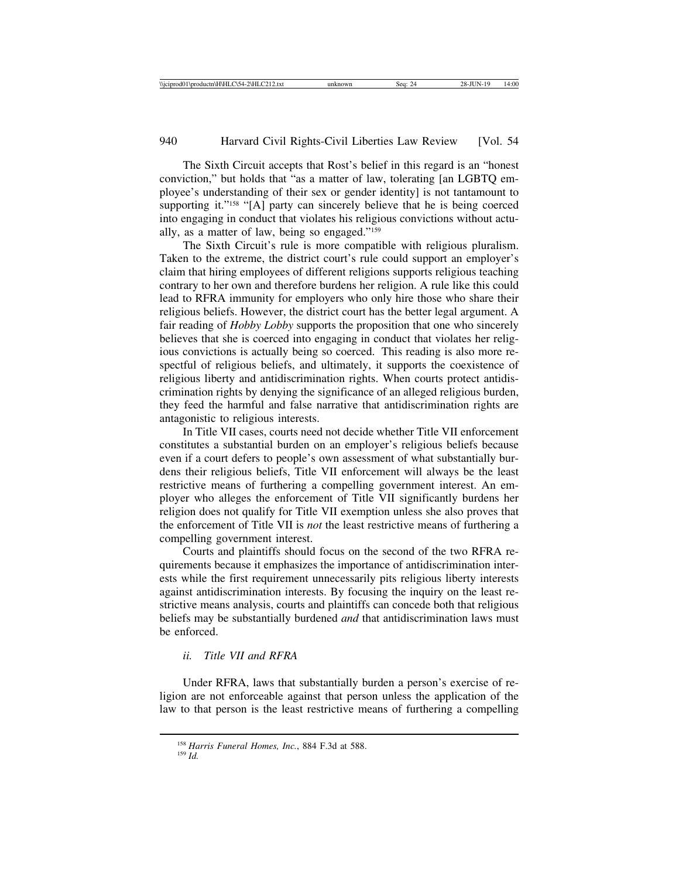The Sixth Circuit accepts that Rost's belief in this regard is an "honest conviction," but holds that "as a matter of law, tolerating [an LGBTQ employee's understanding of their sex or gender identity] is not tantamount to supporting it."<sup>158</sup> "[A] party can sincerely believe that he is being coerced into engaging in conduct that violates his religious convictions without actually, as a matter of law, being so engaged."159

The Sixth Circuit's rule is more compatible with religious pluralism. Taken to the extreme, the district court's rule could support an employer's claim that hiring employees of different religions supports religious teaching contrary to her own and therefore burdens her religion. A rule like this could lead to RFRA immunity for employers who only hire those who share their religious beliefs. However, the district court has the better legal argument. A fair reading of *Hobby Lobby* supports the proposition that one who sincerely believes that she is coerced into engaging in conduct that violates her religious convictions is actually being so coerced. This reading is also more respectful of religious beliefs, and ultimately, it supports the coexistence of religious liberty and antidiscrimination rights. When courts protect antidiscrimination rights by denying the significance of an alleged religious burden, they feed the harmful and false narrative that antidiscrimination rights are antagonistic to religious interests.

In Title VII cases, courts need not decide whether Title VII enforcement constitutes a substantial burden on an employer's religious beliefs because even if a court defers to people's own assessment of what substantially burdens their religious beliefs, Title VII enforcement will always be the least restrictive means of furthering a compelling government interest. An employer who alleges the enforcement of Title VII significantly burdens her religion does not qualify for Title VII exemption unless she also proves that the enforcement of Title VII is *not* the least restrictive means of furthering a compelling government interest.

Courts and plaintiffs should focus on the second of the two RFRA requirements because it emphasizes the importance of antidiscrimination interests while the first requirement unnecessarily pits religious liberty interests against antidiscrimination interests. By focusing the inquiry on the least restrictive means analysis, courts and plaintiffs can concede both that religious beliefs may be substantially burdened *and* that antidiscrimination laws must be enforced.

# *ii. Title VII and RFRA*

Under RFRA, laws that substantially burden a person's exercise of religion are not enforceable against that person unless the application of the law to that person is the least restrictive means of furthering a compelling

<sup>158</sup> *Harris Funeral Homes, Inc.*, 884 F.3d at 588. <sup>159</sup> *Id.*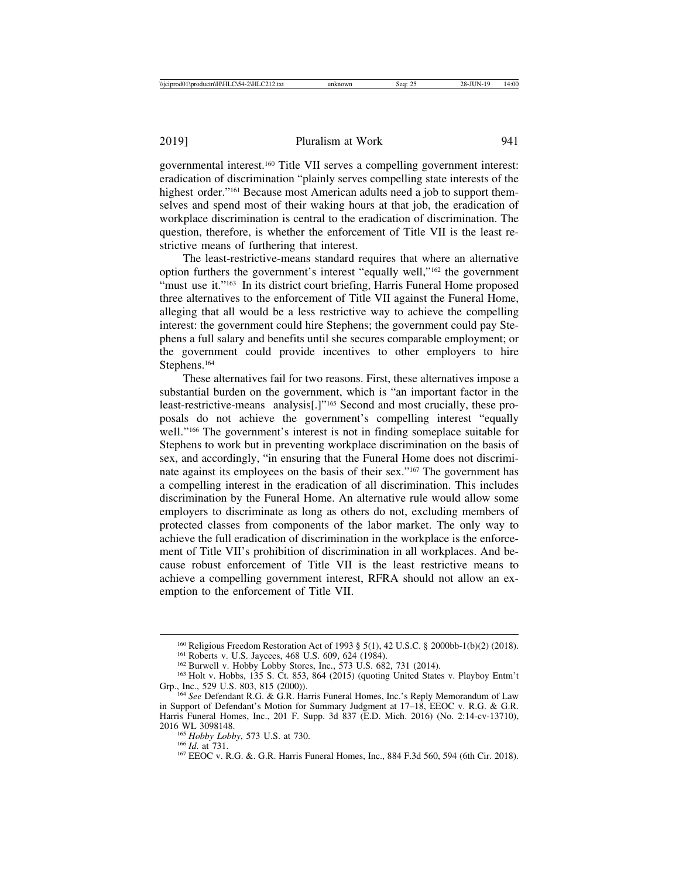governmental interest.160 Title VII serves a compelling government interest: eradication of discrimination "plainly serves compelling state interests of the highest order."<sup>161</sup> Because most American adults need a job to support themselves and spend most of their waking hours at that job, the eradication of workplace discrimination is central to the eradication of discrimination. The question, therefore, is whether the enforcement of Title VII is the least restrictive means of furthering that interest.

The least-restrictive-means standard requires that where an alternative option furthers the government's interest "equally well,"162 the government "must use it."<sup>163</sup> In its district court briefing, Harris Funeral Home proposed three alternatives to the enforcement of Title VII against the Funeral Home, alleging that all would be a less restrictive way to achieve the compelling interest: the government could hire Stephens; the government could pay Stephens a full salary and benefits until she secures comparable employment; or the government could provide incentives to other employers to hire Stephens.164

These alternatives fail for two reasons. First, these alternatives impose a substantial burden on the government, which is "an important factor in the least-restrictive-means analysis[.]"165 Second and most crucially, these proposals do not achieve the government's compelling interest "equally well."166 The government's interest is not in finding someplace suitable for Stephens to work but in preventing workplace discrimination on the basis of sex, and accordingly, "in ensuring that the Funeral Home does not discriminate against its employees on the basis of their sex."167 The government has a compelling interest in the eradication of all discrimination. This includes discrimination by the Funeral Home. An alternative rule would allow some employers to discriminate as long as others do not, excluding members of protected classes from components of the labor market. The only way to achieve the full eradication of discrimination in the workplace is the enforcement of Title VII's prohibition of discrimination in all workplaces. And because robust enforcement of Title VII is the least restrictive means to achieve a compelling government interest, RFRA should not allow an exemption to the enforcement of Title VII.

<sup>&</sup>lt;sup>160</sup> Religious Freedom Restoration Act of 1993 § 5(1), 42 U.S.C. § 2000bb-1(b)(2) (2018).<br><sup>161</sup> Roberts v. U.S. Jaycees, 468 U.S. 609, 624 (1984).<br><sup>162</sup> Burwell v. Hobby Lobby Stores, Inc., 573 U.S. 682, 731 (2014).<br><sup>163</sup>

<sup>&</sup>lt;sup>164</sup> See Defendant R.G. & G.R. Harris Funeral Homes, Inc.'s Reply Memorandum of Law in Support of Defendant's Motion for Summary Judgment at 17–18, EEOC v. R.G. & G.R. Harris Funeral Homes, Inc., 201 F. Supp. 3d 837 (E.D. Mich. 2016) (No. 2:14-cv-13710),

<sup>2016</sup> WL 3098148.<br><sup>165</sup> *Hobby Lobby*, 573 U.S. at 730.<br><sup>166</sup> *Id.* at 731.<br><sup>167</sup> EEOC v. R.G. &. G.R. Harris Funeral Homes, Inc., 884 F.3d 560, 594 (6th Cir. 2018).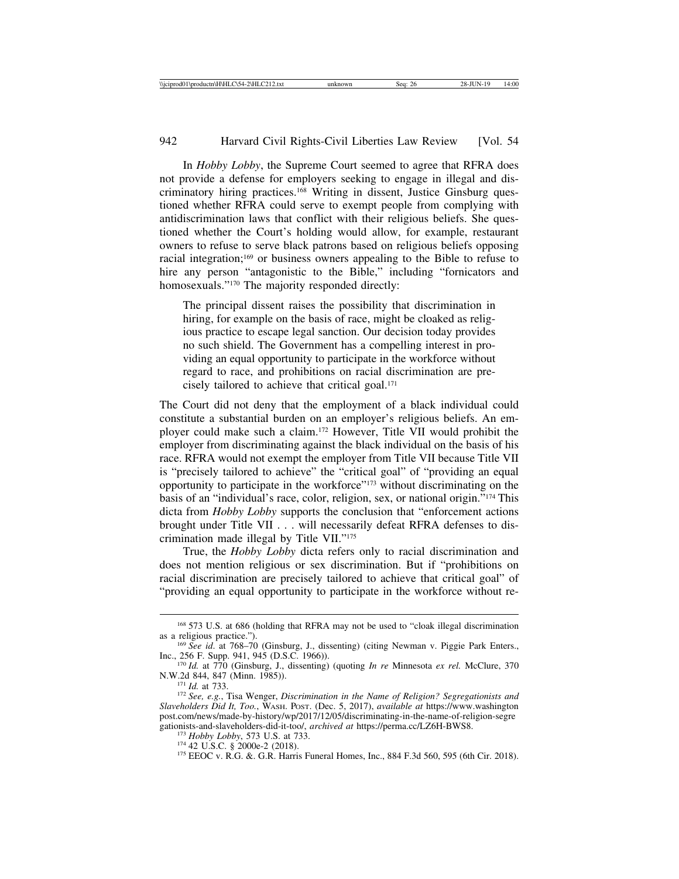In *Hobby Lobby*, the Supreme Court seemed to agree that RFRA does not provide a defense for employers seeking to engage in illegal and discriminatory hiring practices.168 Writing in dissent, Justice Ginsburg questioned whether RFRA could serve to exempt people from complying with antidiscrimination laws that conflict with their religious beliefs. She questioned whether the Court's holding would allow, for example, restaurant owners to refuse to serve black patrons based on religious beliefs opposing racial integration;169 or business owners appealing to the Bible to refuse to hire any person "antagonistic to the Bible," including "fornicators and homosexuals."<sup>170</sup> The majority responded directly:

The principal dissent raises the possibility that discrimination in hiring, for example on the basis of race, might be cloaked as religious practice to escape legal sanction. Our decision today provides no such shield. The Government has a compelling interest in providing an equal opportunity to participate in the workforce without regard to race, and prohibitions on racial discrimination are precisely tailored to achieve that critical goal.171

The Court did not deny that the employment of a black individual could constitute a substantial burden on an employer's religious beliefs. An employer could make such a claim.172 However, Title VII would prohibit the employer from discriminating against the black individual on the basis of his race. RFRA would not exempt the employer from Title VII because Title VII is "precisely tailored to achieve" the "critical goal" of "providing an equal opportunity to participate in the workforce"173 without discriminating on the basis of an "individual's race, color, religion, sex, or national origin."174 This dicta from *Hobby Lobby* supports the conclusion that "enforcement actions brought under Title VII . . . will necessarily defeat RFRA defenses to discrimination made illegal by Title VII."175

True, the *Hobby Lobby* dicta refers only to racial discrimination and does not mention religious or sex discrimination. But if "prohibitions on racial discrimination are precisely tailored to achieve that critical goal" of "providing an equal opportunity to participate in the workforce without re-

<sup>&</sup>lt;sup>168</sup> 573 U.S. at 686 (holding that RFRA may not be used to "cloak illegal discrimination as a religious practice.").

<sup>&</sup>lt;sup>169</sup> *See id.* at 768–70 (Ginsburg, J., dissenting) (citing Newman v. Piggie Park Enters., Inc., 256 F. Supp. 941, 945 (D.S.C. 1966)).

<sup>&</sup>lt;sup>170</sup> *Id.* at 770 (Ginsburg, J., dissenting) (quoting *In re* Minnesota *ex rel.* McClure, 370 N.W.2d 844, 847 (Minn. 1985)).

<sup>&</sup>lt;sup>171</sup> *Id.* at 733.<br><sup>172</sup> *See, e.g.*, Tisa Wenger, *Discrimination in the Name of Religion? Segregationists and Slaveholders Did It, Too.*, WASH. POST. (Dec. 5, 2017), *available at* https://www.washington post.com/news/made-by-history/wp/2017/12/05/discriminating-in-the-name-of-religion-segre gationists-and-slaveholders-did-it-too/, archived at https://perma.cc/LZ6H-BWS8.

<sup>&</sup>lt;sup>173</sup> Hobby Lobby, 573 U.S. at 733.<br><sup>174</sup> 42 U.S.C. § 2000e-2 (2018).<br><sup>175</sup> EEOC v. R.G. &. G.R. Harris Funeral Homes, Inc., 884 F.3d 560, 595 (6th Cir. 2018).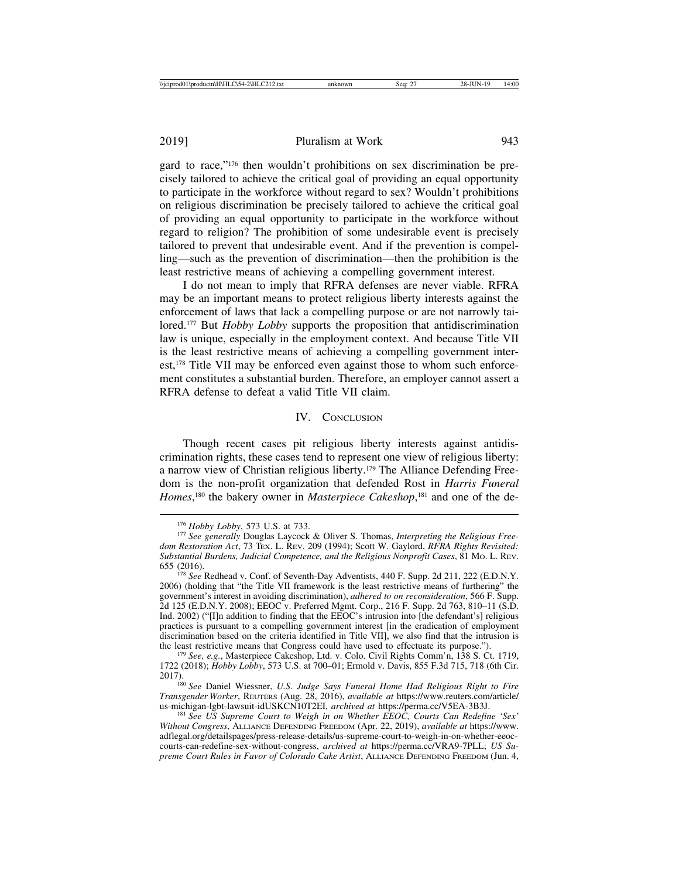gard to race,"176 then wouldn't prohibitions on sex discrimination be precisely tailored to achieve the critical goal of providing an equal opportunity to participate in the workforce without regard to sex? Wouldn't prohibitions on religious discrimination be precisely tailored to achieve the critical goal of providing an equal opportunity to participate in the workforce without regard to religion? The prohibition of some undesirable event is precisely tailored to prevent that undesirable event. And if the prevention is compelling—such as the prevention of discrimination—then the prohibition is the least restrictive means of achieving a compelling government interest.

I do not mean to imply that RFRA defenses are never viable. RFRA may be an important means to protect religious liberty interests against the enforcement of laws that lack a compelling purpose or are not narrowly tailored.177 But *Hobby Lobby* supports the proposition that antidiscrimination law is unique, especially in the employment context. And because Title VII is the least restrictive means of achieving a compelling government interest,178 Title VII may be enforced even against those to whom such enforcement constitutes a substantial burden. Therefore, an employer cannot assert a RFRA defense to defeat a valid Title VII claim.

#### IV. CONCLUSION

Though recent cases pit religious liberty interests against antidiscrimination rights, these cases tend to represent one view of religious liberty: a narrow view of Christian religious liberty.179 The Alliance Defending Freedom is the non-profit organization that defended Rost in *Harris Funeral* Homes,<sup>180</sup> the bakery owner in *Masterpiece Cakeshop*,<sup>181</sup> and one of the de-

<sup>&</sup>lt;sup>176</sup> *Hobby Lobby*, 573 U.S. at 733.<br><sup>177</sup> *See generally* Douglas Laycock & Oliver S. Thomas, *Interpreting the Religious Freedom Restoration Act*, 73 TEX. L. REV. 209 (1994); Scott W. Gaylord, *RFRA Rights Revisited: Substantial Burdens, Judicial Competence, and the Religious Nonprofit Cases*, 81 MO. L. REV.

<sup>&</sup>lt;sup>178</sup> See Redhead v. Conf. of Seventh-Day Adventists, 440 F. Supp. 2d 211, 222 (E.D.N.Y. 2006) (holding that "the Title VII framework is the least restrictive means of furthering" the government's interest in avoiding discrimination), *adhered to on reconsideration*, 566 F. Supp. 2d 125 (E.D.N.Y. 2008); EEOC v. Preferred Mgmt. Corp., 216 F. Supp. 2d 763, 810–11 (S.D. Ind. 2002) ("[I]n addition to finding that the EEOC's intrusion into [the defendant's] religious practices is pursuant to a compelling government interest [in the eradication of employment discrimination based on the criteria identified in Title VII], we also find that the intrusion is the least restrictive means that Congress could have used to effectuate its purpose.").

<sup>&</sup>lt;sup>179</sup> See, e.g., Masterpiece Cakeshop, Ltd. v. Colo. Civil Rights Comm'n, 138 S. Ct. 1719, 1722 (2018); *Hobby Lobby*, 573 U.S. at 700–01; Ermold v. Davis, 855 F.3d 715, 718 (6th Cir.

<sup>2017).</sup> <sup>180</sup> *See* Daniel Wiessner, *U.S. Judge Says Funeral Home Had Religious Right to Fire Transgender Worker*, REUTERS (Aug. 28, 2016), *available at* https://www.reuters.com/article/

<sup>&</sup>lt;sup>181</sup> See US Supreme Court to Weigh in on Whether EEOC, Courts Can Redefine 'Sex' *Without Congress*, ALLIANCE DEFENDING FREEDOM (Apr. 22, 2019), *available at* https://www. adflegal.org/detailspages/press-release-details/us-supreme-court-to-weigh-in-on-whether-eeoccourts-can-redefine-sex-without-congress, *archived at* https://perma.cc/VRA9-7PLL; *US Supreme Court Rules in Favor of Colorado Cake Artist*, ALLIANCE DEFENDING FREEDOM (Jun. 4,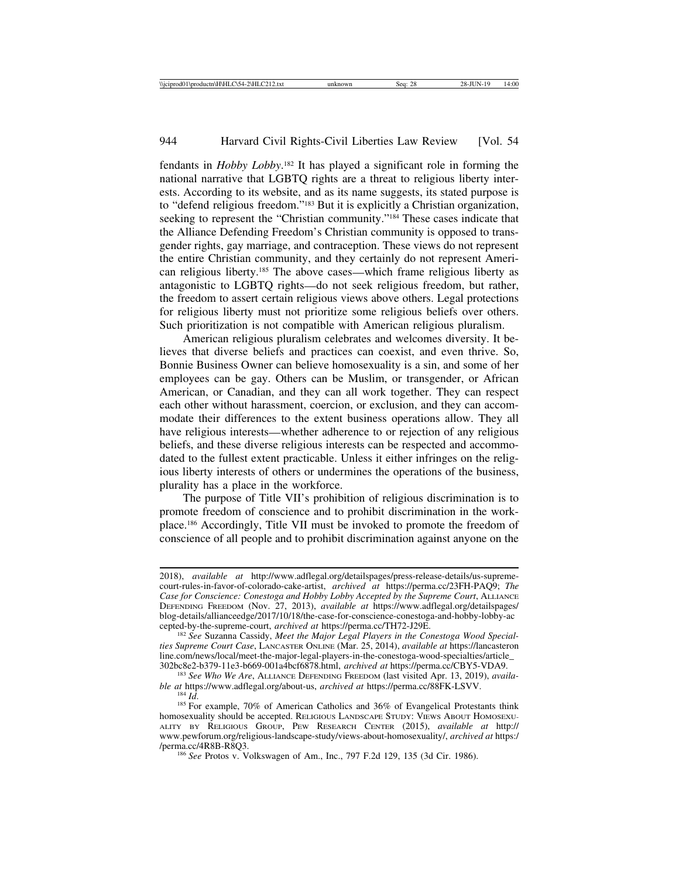fendants in *Hobby Lobby*. 182 It has played a significant role in forming the national narrative that LGBTQ rights are a threat to religious liberty interests. According to its website, and as its name suggests, its stated purpose is to "defend religious freedom."183 But it is explicitly a Christian organization, seeking to represent the "Christian community."<sup>184</sup> These cases indicate that the Alliance Defending Freedom's Christian community is opposed to transgender rights, gay marriage, and contraception. These views do not represent the entire Christian community, and they certainly do not represent American religious liberty.185 The above cases—which frame religious liberty as antagonistic to LGBTQ rights—do not seek religious freedom, but rather, the freedom to assert certain religious views above others. Legal protections for religious liberty must not prioritize some religious beliefs over others. Such prioritization is not compatible with American religious pluralism.

American religious pluralism celebrates and welcomes diversity. It believes that diverse beliefs and practices can coexist, and even thrive. So, Bonnie Business Owner can believe homosexuality is a sin, and some of her employees can be gay. Others can be Muslim, or transgender, or African American, or Canadian, and they can all work together. They can respect each other without harassment, coercion, or exclusion, and they can accommodate their differences to the extent business operations allow. They all have religious interests—whether adherence to or rejection of any religious beliefs, and these diverse religious interests can be respected and accommodated to the fullest extent practicable. Unless it either infringes on the religious liberty interests of others or undermines the operations of the business, plurality has a place in the workforce.

The purpose of Title VII's prohibition of religious discrimination is to promote freedom of conscience and to prohibit discrimination in the workplace.186 Accordingly, Title VII must be invoked to promote the freedom of conscience of all people and to prohibit discrimination against anyone on the

<sup>2018),</sup> *available at* http://www.adflegal.org/detailspages/press-release-details/us-supremecourt-rules-in-favor-of-colorado-cake-artist, *archived at* https://perma.cc/23FH-PAQ9; *The Case for Conscience: Conestoga and Hobby Lobby Accepted by the Supreme Court*, ALLIANCE DEFENDING FREEDOM (Nov. 27, 2013), *available at* https://www.adflegal.org/detailspages/ blog-details/allianceedge/2017/10/18/the-case-for-conscience-conestoga-and-hobby-lobby-ac<br>cepted-by-the-supreme-court, archived at https://perma.cc/TH72-J29E.

<sup>&</sup>lt;sup>182</sup> See Suzanna Cassidy, Meet the Major Legal Players in the Conestoga Wood Special*ties Supreme Court Case*, LANCASTER ONLINE (Mar. 25, 2014), *available at* https://lancasteron line.com/news/local/meet-the-major-legal-players-in-the-conestoga-wood-specialties/article\_<br>302bc8e2-b379-11e3-b669-001a4bcf6878.html, archived at https://perma.cc/CBY5-VDA9.

<sup>&</sup>lt;sup>183</sup> See Who We Are, ALLIANCE DEFENDING FREEDOM (last visited Apr. 13, 2019), *availa-*<br>ble at https://www.adflegal.org/about-us, *archived at* https://perma.cc/88FK-LSVV.

<sup>&</sup>lt;sup>184</sup> *Id.*<br><sup>185</sup> For example, 70% of American Catholics and 36% of Evangelical Protestants think homosexuality should be accepted. RELIGIOUS LANDSCAPE STUDY: VIEWS ABOUT HOMOSEXU-ALITY BY RELIGIOUS GROUP, PEW RESEARCH CENTER (2015), *available at* http:// www.pewforum.org/religious-landscape-study/views-about-homosexuality/, *archived at* https:/

<sup>&</sup>lt;sup>186</sup> See Protos v. Volkswagen of Am., Inc., 797 F.2d 129, 135 (3d Cir. 1986).